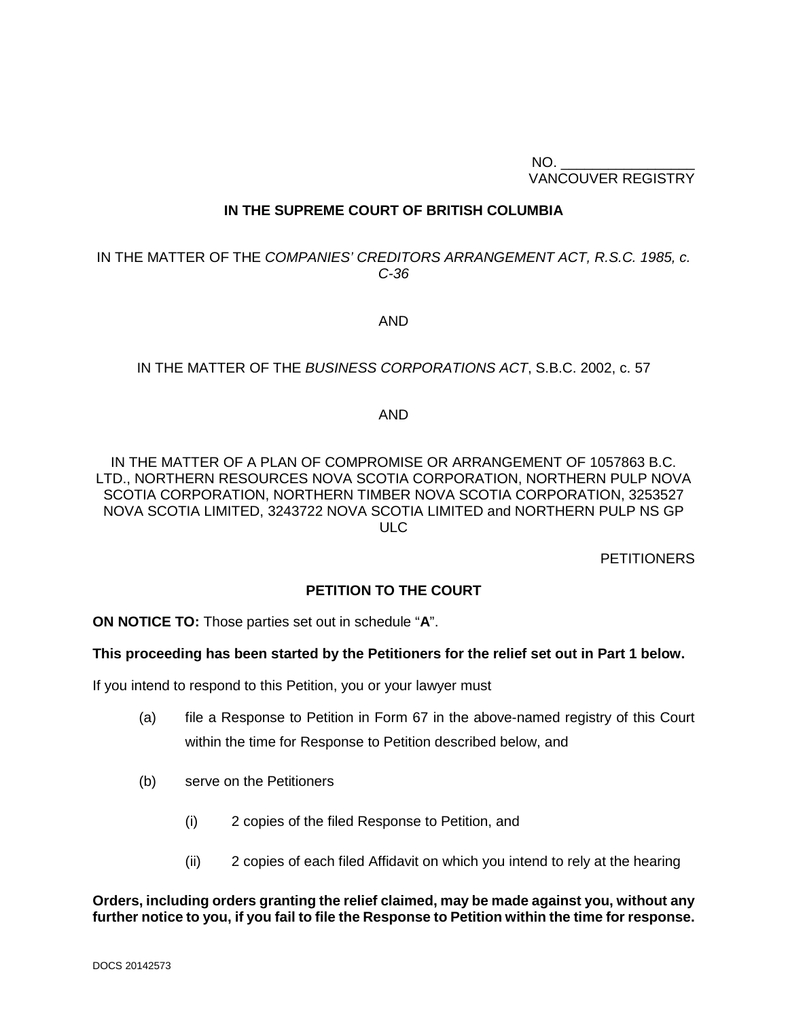$NO.$ VANCOUVER REGISTRY

#### **IN THE SUPREME COURT OF BRITISH COLUMBIA**

### IN THE MATTER OF THE *COMPANIES' CREDITORS ARRANGEMENT ACT, R.S.C. 1985, c. C-36*

AND

#### IN THE MATTER OF THE *BUSINESS CORPORATIONS ACT*, S.B.C. 2002, c. 57

#### AND

IN THE MATTER OF A PLAN OF COMPROMISE OR ARRANGEMENT OF 1057863 B.C. LTD., NORTHERN RESOURCES NOVA SCOTIA CORPORATION, NORTHERN PULP NOVA SCOTIA CORPORATION, NORTHERN TIMBER NOVA SCOTIA CORPORATION, 3253527 NOVA SCOTIA LIMITED, 3243722 NOVA SCOTIA LIMITED and NORTHERN PULP NS GP ULC

**PETITIONERS** 

#### **PETITION TO THE COURT**

**ON NOTICE TO:** Those parties set out in schedule "**A**".

#### **This proceeding has been started by the Petitioners for the relief set out in Part 1 below.**

If you intend to respond to this Petition, you or your lawyer must

- (a) file a Response to Petition in Form 67 in the above-named registry of this Court within the time for Response to Petition described below, and
- (b) serve on the Petitioners
	- (i) 2 copies of the filed Response to Petition, and
	- (ii) 2 copies of each filed Affidavit on which you intend to rely at the hearing

#### **Orders, including orders granting the relief claimed, may be made against you, without any further notice to you, if you fail to file the Response to Petition within the time for response.**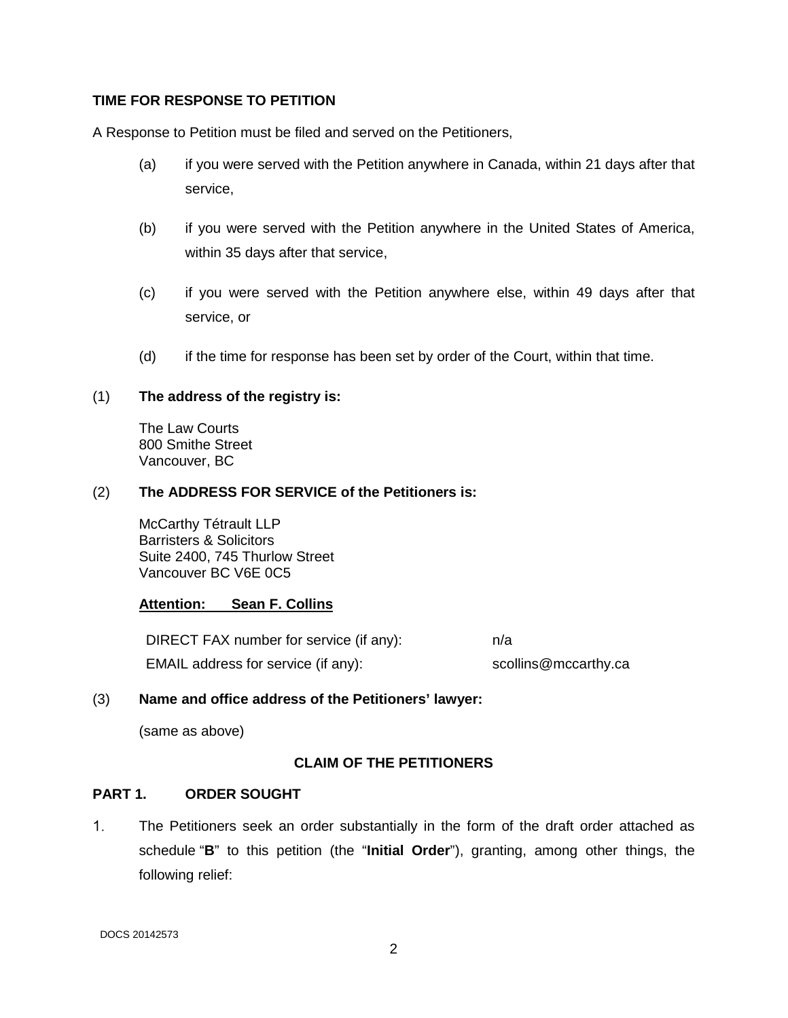#### **TIME FOR RESPONSE TO PETITION**

A Response to Petition must be filed and served on the Petitioners,

- (a) if you were served with the Petition anywhere in Canada, within 21 days after that service,
- (b) if you were served with the Petition anywhere in the United States of America, within 35 days after that service,
- (c) if you were served with the Petition anywhere else, within 49 days after that service, or
- (d) if the time for response has been set by order of the Court, within that time.

#### (1) **The address of the registry is:**

The Law Courts 800 Smithe Street Vancouver, BC

#### (2) **The ADDRESS FOR SERVICE of the Petitioners is:**

McCarthy Tétrault LLP Barristers & Solicitors Suite 2400, 745 Thurlow Street Vancouver BC V6E 0C5

### **Attention: Sean F. Collins**

DIRECT FAX number for service (if any): n/a EMAIL address for service (if any): scollins@mccarthy.ca

#### (3) **Name and office address of the Petitioners' lawyer:**

(same as above)

### **CLAIM OF THE PETITIONERS**

### **PART 1. ORDER SOUGHT**

 $1<sub>1</sub>$ The Petitioners seek an order substantially in the form of the draft order attached as schedule "**B**" to this petition (the "**Initial Order**"), granting, among other things, the following relief: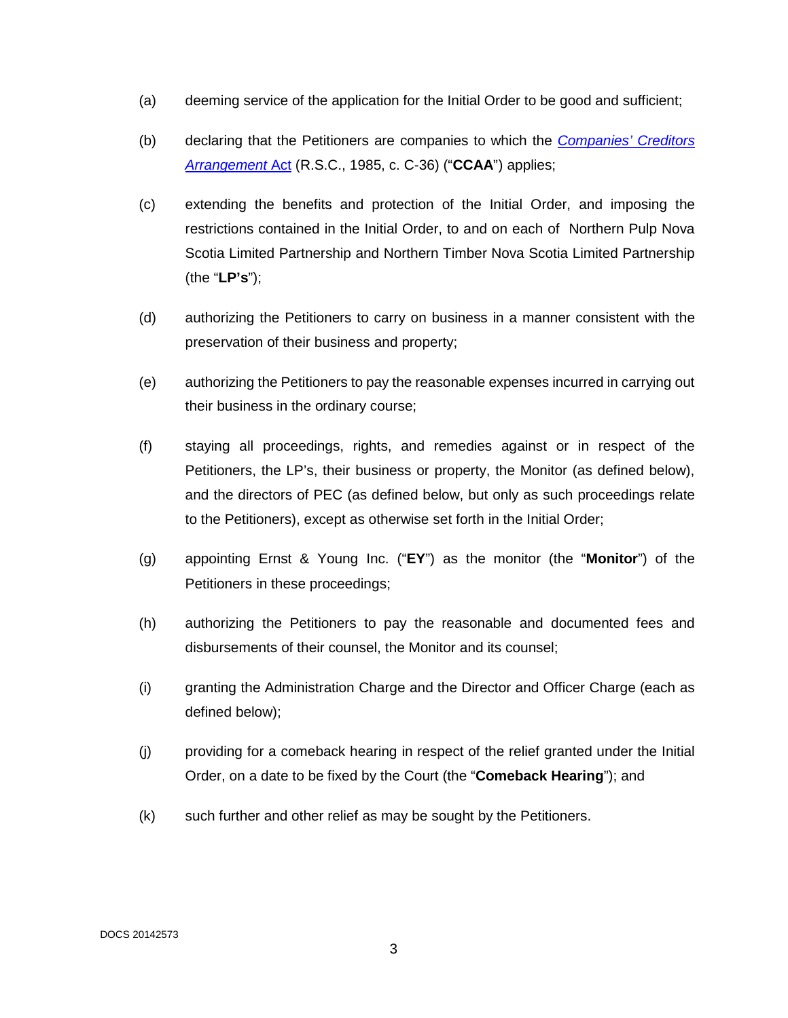- (a) deeming service of the application for the Initial Order to be good and sufficient;
- (b) declaring that the Petitioners are companies to which the *[Companies' Creditors](https://laws-lois.justice.gc.ca/eng/acts/c-36/)  [Arrangement](https://laws-lois.justice.gc.ca/eng/acts/c-36/)* Act (R.S.C., 1985, c. C-36) ("**CCAA**") applies;
- (c) extending the benefits and protection of the Initial Order, and imposing the restrictions contained in the Initial Order, to and on each of Northern Pulp Nova Scotia Limited Partnership and Northern Timber Nova Scotia Limited Partnership (the "**LP's**");
- (d) authorizing the Petitioners to carry on business in a manner consistent with the preservation of their business and property;
- (e) authorizing the Petitioners to pay the reasonable expenses incurred in carrying out their business in the ordinary course;
- (f) staying all proceedings, rights, and remedies against or in respect of the Petitioners, the LP's, their business or property, the Monitor (as defined below), and the directors of PEC (as defined below, but only as such proceedings relate to the Petitioners), except as otherwise set forth in the Initial Order;
- (g) appointing Ernst & Young Inc. ("**EY**") as the monitor (the "**Monitor**") of the Petitioners in these proceedings;
- (h) authorizing the Petitioners to pay the reasonable and documented fees and disbursements of their counsel, the Monitor and its counsel;
- (i) granting the Administration Charge and the Director and Officer Charge (each as defined below);
- (j) providing for a comeback hearing in respect of the relief granted under the Initial Order, on a date to be fixed by the Court (the "**Comeback Hearing**"); and
- (k) such further and other relief as may be sought by the Petitioners.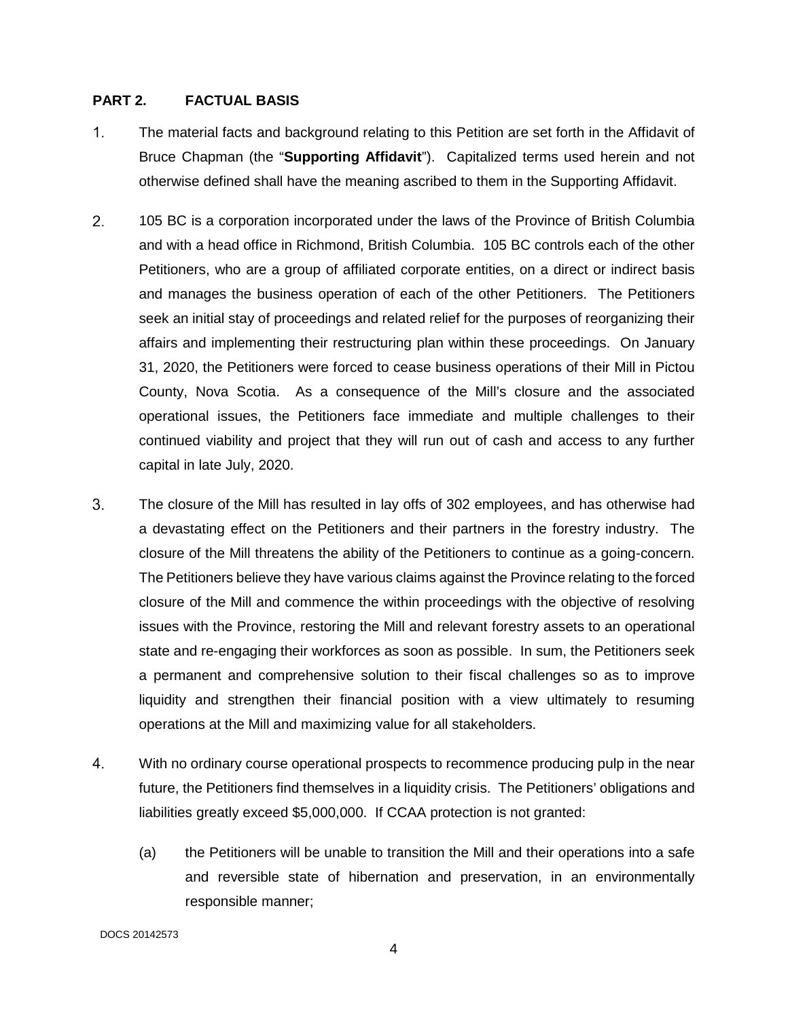#### **PART 2. FACTUAL BASIS**

- $1_{-}$ The material facts and background relating to this Petition are set forth in the Affidavit of Bruce Chapman (the "**Supporting Affidavit**"). Capitalized terms used herein and not otherwise defined shall have the meaning ascribed to them in the Supporting Affidavit.
- $2<sup>1</sup>$ 105 BC is a corporation incorporated under the laws of the Province of British Columbia and with a head office in Richmond, British Columbia. 105 BC controls each of the other Petitioners, who are a group of affiliated corporate entities, on a direct or indirect basis and manages the business operation of each of the other Petitioners. The Petitioners seek an initial stay of proceedings and related relief for the purposes of reorganizing their affairs and implementing their restructuring plan within these proceedings. On January 31, 2020, the Petitioners were forced to cease business operations of their Mill in Pictou County, Nova Scotia. As a consequence of the Mill's closure and the associated operational issues, the Petitioners face immediate and multiple challenges to their continued viability and project that they will run out of cash and access to any further capital in late July, 2020.
- $3<sup>1</sup>$ The closure of the Mill has resulted in lay offs of 302 employees, and has otherwise had a devastating effect on the Petitioners and their partners in the forestry industry. The closure of the Mill threatens the ability of the Petitioners to continue as a going-concern. The Petitioners believe they have various claims against the Province relating to the forced closure of the Mill and commence the within proceedings with the objective of resolving issues with the Province, restoring the Mill and relevant forestry assets to an operational state and re-engaging their workforces as soon as possible. In sum, the Petitioners seek a permanent and comprehensive solution to their fiscal challenges so as to improve liquidity and strengthen their financial position with a view ultimately to resuming operations at the Mill and maximizing value for all stakeholders.
- $4.$ With no ordinary course operational prospects to recommence producing pulp in the near future, the Petitioners find themselves in a liquidity crisis. The Petitioners' obligations and liabilities greatly exceed \$5,000,000. If CCAA protection is not granted:
	- (a) the Petitioners will be unable to transition the Mill and their operations into a safe and reversible state of hibernation and preservation, in an environmentally responsible manner;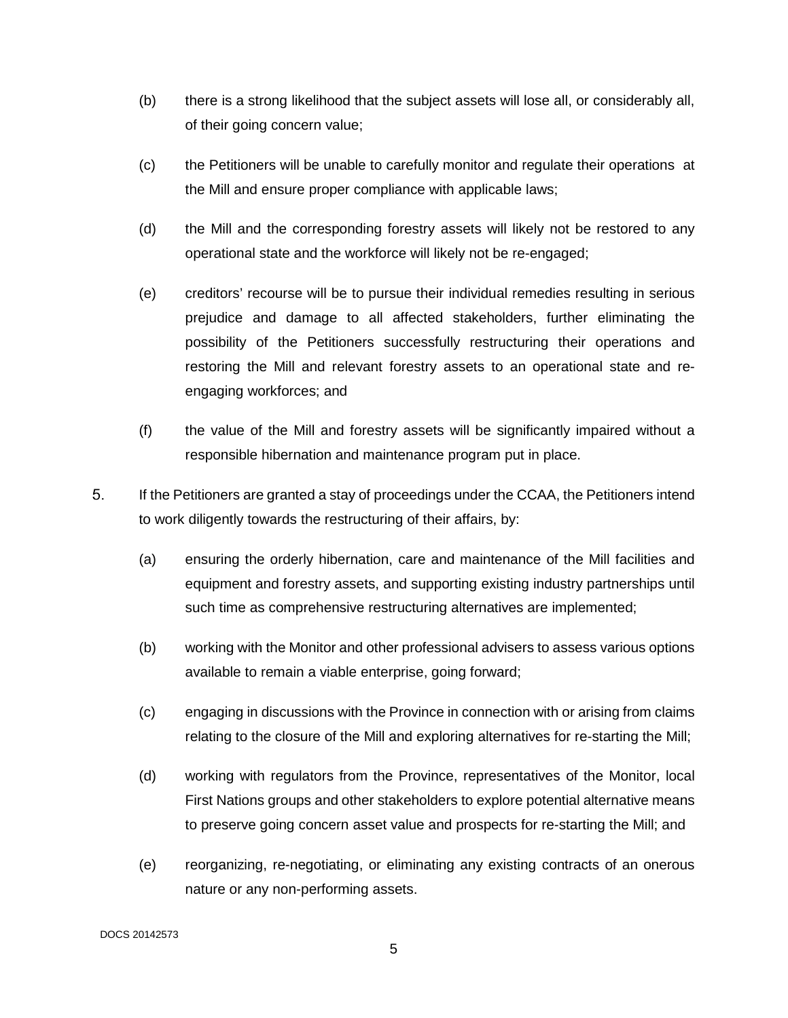- (b) there is a strong likelihood that the subject assets will lose all, or considerably all, of their going concern value;
- (c) the Petitioners will be unable to carefully monitor and regulate their operations at the Mill and ensure proper compliance with applicable laws;
- (d) the Mill and the corresponding forestry assets will likely not be restored to any operational state and the workforce will likely not be re-engaged;
- (e) creditors' recourse will be to pursue their individual remedies resulting in serious prejudice and damage to all affected stakeholders, further eliminating the possibility of the Petitioners successfully restructuring their operations and restoring the Mill and relevant forestry assets to an operational state and reengaging workforces; and
- (f) the value of the Mill and forestry assets will be significantly impaired without a responsible hibernation and maintenance program put in place.
- 5. If the Petitioners are granted a stay of proceedings under the CCAA, the Petitioners intend to work diligently towards the restructuring of their affairs, by:
	- (a) ensuring the orderly hibernation, care and maintenance of the Mill facilities and equipment and forestry assets, and supporting existing industry partnerships until such time as comprehensive restructuring alternatives are implemented;
	- (b) working with the Monitor and other professional advisers to assess various options available to remain a viable enterprise, going forward;
	- (c) engaging in discussions with the Province in connection with or arising from claims relating to the closure of the Mill and exploring alternatives for re-starting the Mill;
	- (d) working with regulators from the Province, representatives of the Monitor, local First Nations groups and other stakeholders to explore potential alternative means to preserve going concern asset value and prospects for re-starting the Mill; and
	- (e) reorganizing, re-negotiating, or eliminating any existing contracts of an onerous nature or any non-performing assets.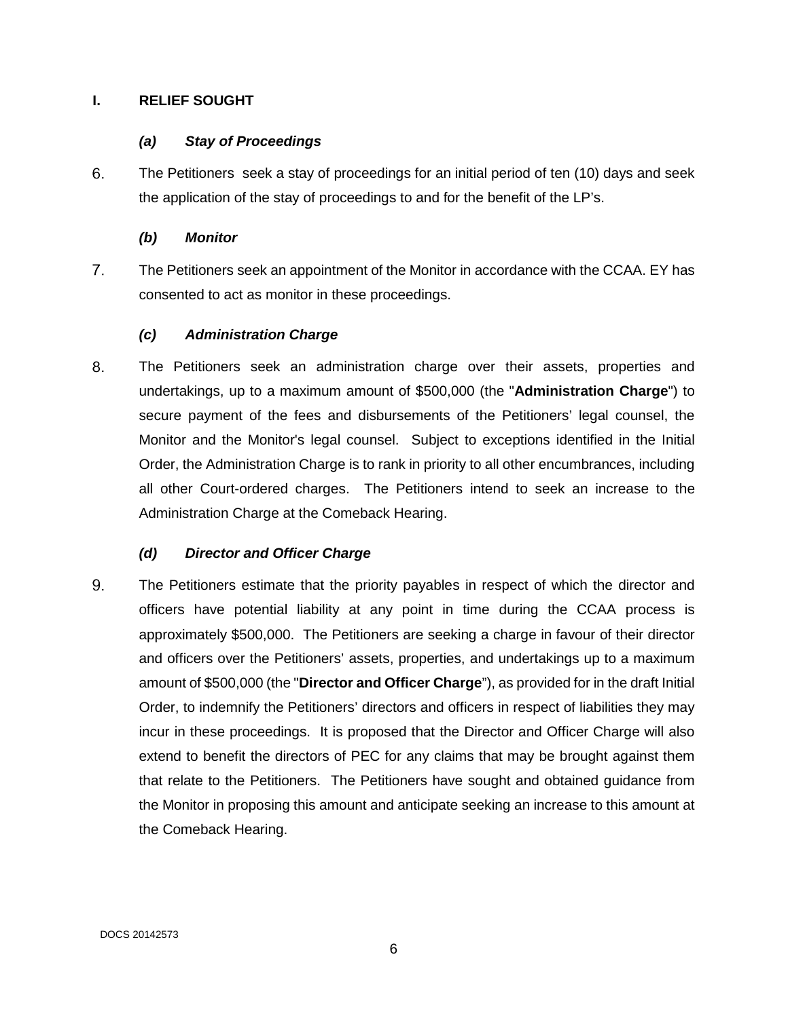### **I. RELIEF SOUGHT**

# *(a) Stay of Proceedings*

6. The Petitioners seek a stay of proceedings for an initial period of ten (10) days and seek the application of the stay of proceedings to and for the benefit of the LP's.

## *(b) Monitor*

 $7<sup>1</sup>$ The Petitioners seek an appointment of the Monitor in accordance with the CCAA. EY has consented to act as monitor in these proceedings.

# *(c) Administration Charge*

8. The Petitioners seek an administration charge over their assets, properties and undertakings, up to a maximum amount of \$500,000 (the "**Administration Charge**") to secure payment of the fees and disbursements of the Petitioners' legal counsel, the Monitor and the Monitor's legal counsel. Subject to exceptions identified in the Initial Order, the Administration Charge is to rank in priority to all other encumbrances, including all other Court-ordered charges. The Petitioners intend to seek an increase to the Administration Charge at the Comeback Hearing.

# *(d) Director and Officer Charge*

9. The Petitioners estimate that the priority payables in respect of which the director and officers have potential liability at any point in time during the CCAA process is approximately \$500,000. The Petitioners are seeking a charge in favour of their director and officers over the Petitioners' assets, properties, and undertakings up to a maximum amount of \$500,000 (the "**Director and Officer Charge**"), as provided for in the draft Initial Order, to indemnify the Petitioners' directors and officers in respect of liabilities they may incur in these proceedings. It is proposed that the Director and Officer Charge will also extend to benefit the directors of PEC for any claims that may be brought against them that relate to the Petitioners. The Petitioners have sought and obtained guidance from the Monitor in proposing this amount and anticipate seeking an increase to this amount at the Comeback Hearing.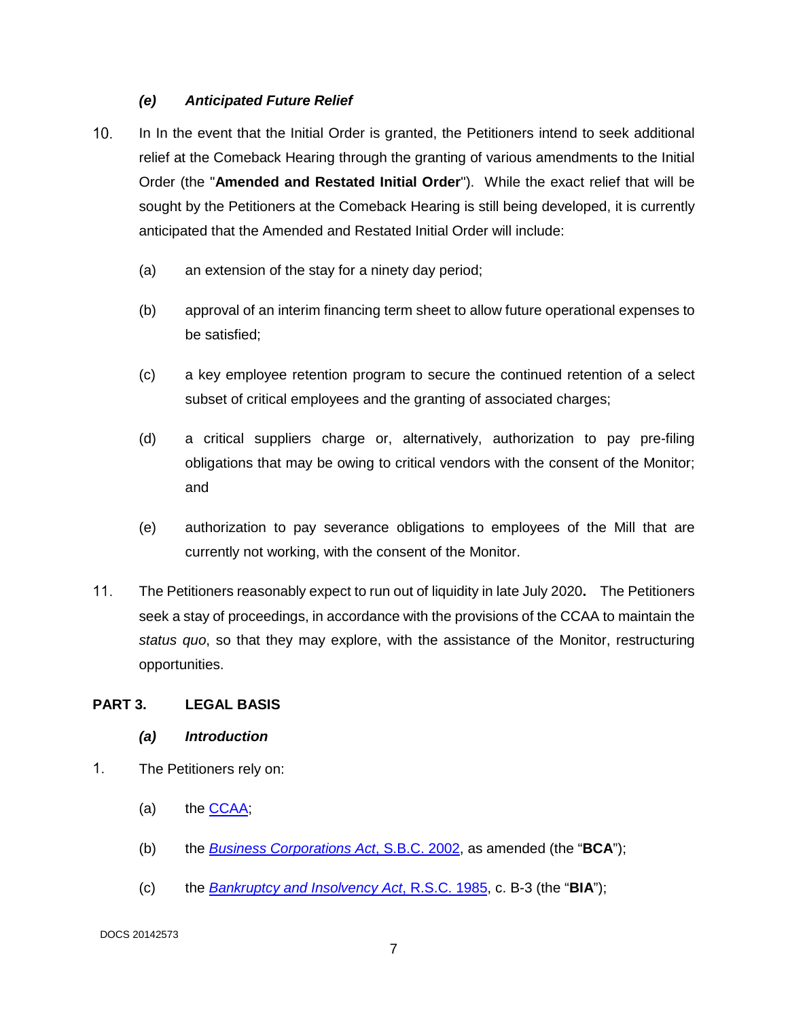## *(e) Anticipated Future Relief*

- In In the event that the Initial Order is granted, the Petitioners intend to seek additional relief at the Comeback Hearing through the granting of various amendments to the Initial Order (the "**Amended and Restated Initial Order**"). While the exact relief that will be sought by the Petitioners at the Comeback Hearing is still being developed, it is currently anticipated that the Amended and Restated Initial Order will include:
	- (a) an extension of the stay for a ninety day period;
	- (b) approval of an interim financing term sheet to allow future operational expenses to be satisfied;
	- (c) a key employee retention program to secure the continued retention of a select subset of critical employees and the granting of associated charges;
	- (d) a critical suppliers charge or, alternatively, authorization to pay pre-filing obligations that may be owing to critical vendors with the consent of the Monitor; and
	- (e) authorization to pay severance obligations to employees of the Mill that are currently not working, with the consent of the Monitor.
- The Petitioners reasonably expect to run out of liquidity in late July 2020**.** The Petitioners seek a stay of proceedings, in accordance with the provisions of the CCAA to maintain the *status quo*, so that they may explore, with the assistance of the Monitor, restructuring opportunities.

### **PART 3. LEGAL BASIS**

- *(a) Introduction*
- $1<sub>1</sub>$ The Petitioners rely on:
	- (a) the  $CCAA$ ;
	- (b) the *[Business Corporations Act](http://www.bclaws.ca/civix/document/id/complete/statreg/02057_01)*, S.B.C. 2002, as amended (the "**BCA**");
	- (c) the *[Bankruptcy and Insolvency Act](https://laws-lois.justice.gc.ca/eng/acts/b-3/)*, R.S.C. 1985, c. B-3 (the "**BIA**");

DOCS 20142573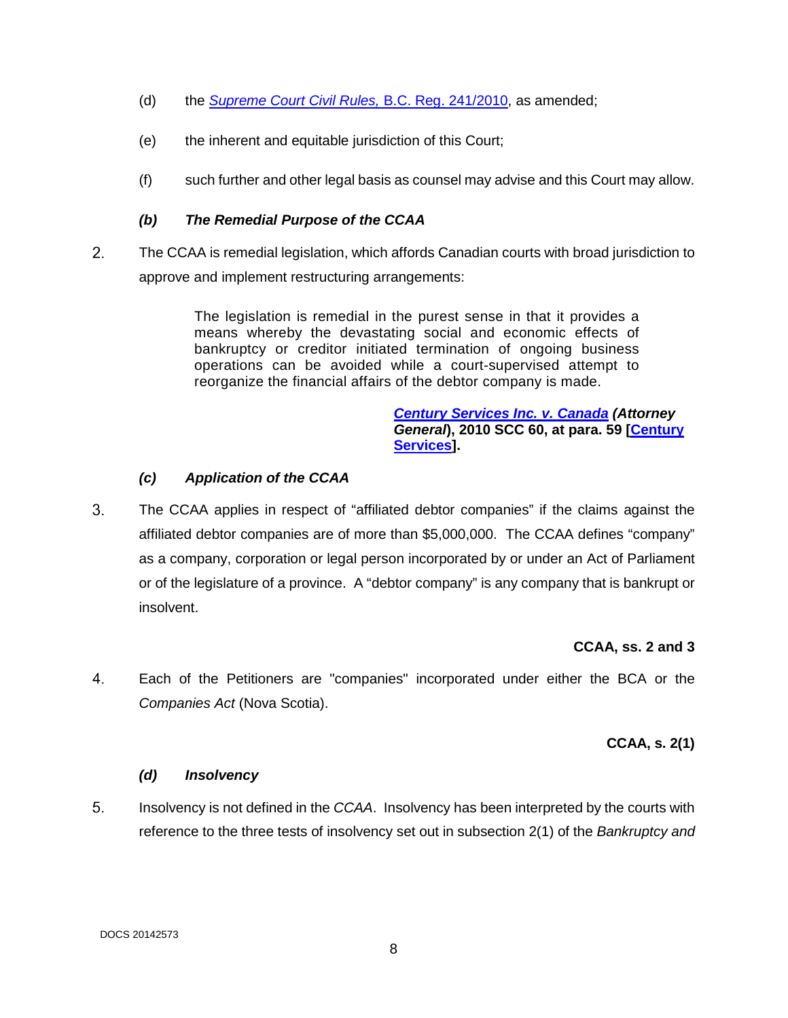- (d) the *[Supreme Court Civil Rules,](http://www.bclaws.ca/civix/document/id/lc/bcgaz2/v53n15_241-2010)* B.C. Reg. 241/2010, as amended;
- (e) the inherent and equitable jurisdiction of this Court;
- (f) such further and other legal basis as counsel may advise and this Court may allow.

### *(b) The Remedial Purpose of the CCAA*

 $2.$ The CCAA is remedial legislation, which affords Canadian courts with broad jurisdiction to approve and implement restructuring arrangements:

> The legislation is remedial in the purest sense in that it provides a means whereby the devastating social and economic effects of bankruptcy or creditor initiated termination of ongoing business operations can be avoided while a court-supervised attempt to reorganize the financial affairs of the debtor company is made.

#### *[Century Services Inc. v. Canada](https://www.canlii.org/en/ca/scc/doc/2010/2010scc60/2010scc60.pdf) (Attorney General***), 2010 SCC 60, at para. 59 [\[Century](https://www.canlii.org/en/ca/scc/doc/2010/2010scc60/2010scc60.pdf)  [Services\]](https://www.canlii.org/en/ca/scc/doc/2010/2010scc60/2010scc60.pdf).**

# *(c) Application of the CCAA*

 $3<sub>1</sub>$ The CCAA applies in respect of "affiliated debtor companies" if the claims against the affiliated debtor companies are of more than \$5,000,000. The CCAA defines "company" as a company, corporation or legal person incorporated by or under an Act of Parliament or of the legislature of a province. A "debtor company" is any company that is bankrupt or insolvent.

### **CCAA, ss. 2 and 3**

 $4.$ Each of the Petitioners are "companies" incorporated under either the BCA or the *Companies Act* (Nova Scotia).

# **CCAA, s. 2(1)**

### *(d) Insolvency*

5. Insolvency is not defined in the *CCAA*. Insolvency has been interpreted by the courts with reference to the three tests of insolvency set out in subsection 2(1) of the *Bankruptcy and*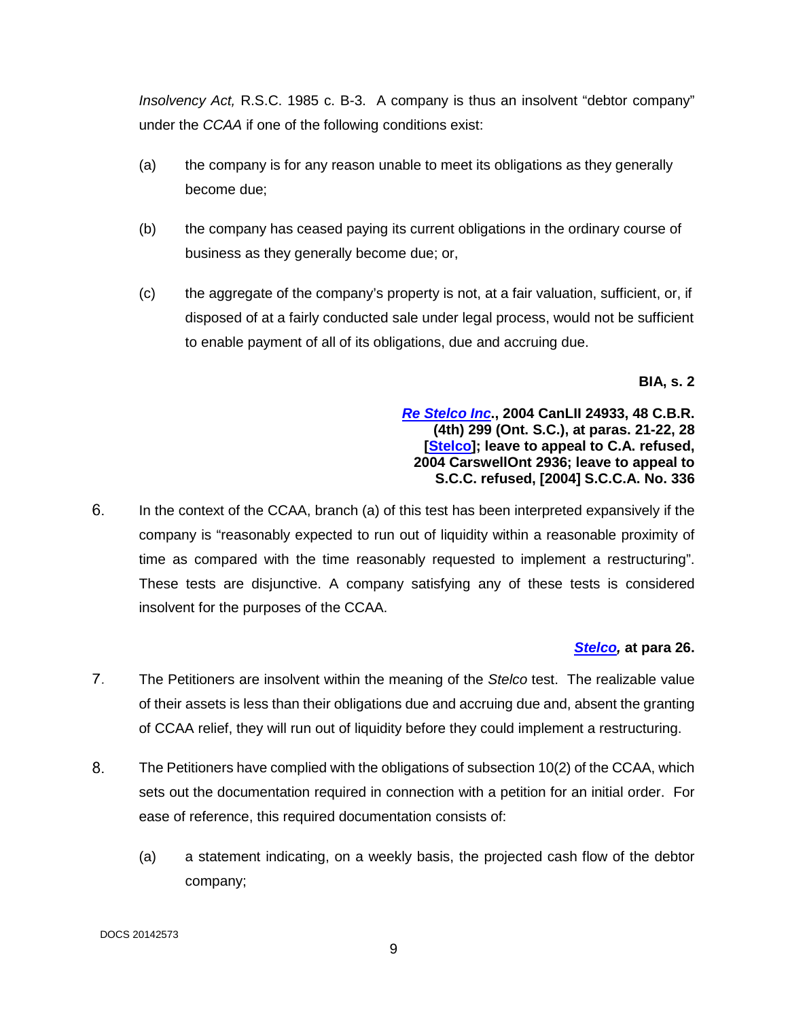*Insolvency Act,* R.S.C. 1985 c. B-3. A company is thus an insolvent "debtor company" under the *CCAA* if one of the following conditions exist:

- (a) the company is for any reason unable to meet its obligations as they generally become due;
- (b) the company has ceased paying its current obligations in the ordinary course of business as they generally become due; or,
- (c) the aggregate of the company's property is not, at a fair valuation, sufficient, or, if disposed of at a fairly conducted sale under legal process, would not be sufficient to enable payment of all of its obligations, due and accruing due.

**BIA, s. 2** 

### *[Re Stelco Inc](https://www.canlii.org/en/on/onsc/doc/2004/2004canlii24933/2004canlii24933.pdf)***., 2004 CanLII 24933, 48 C.B.R. (4th) 299 (Ont. S.C.), at paras. 21-22, 28 [\[Stelco\]](https://www.canlii.org/en/on/onsc/doc/2004/2004canlii24933/2004canlii24933.pdf); leave to appeal to C.A. refused, 2004 CarswellOnt 2936; leave to appeal to S.C.C. refused, [2004] S.C.C.A. No. 336**

6. In the context of the CCAA, branch (a) of this test has been interpreted expansively if the company is "reasonably expected to run out of liquidity within a reasonable proximity of time as compared with the time reasonably requested to implement a restructuring". These tests are disjunctive. A company satisfying any of these tests is considered insolvent for the purposes of the CCAA.

# *[Stelco,](https://www.canlii.org/en/on/onsc/doc/2004/2004canlii24933/2004canlii24933.pdf)* **at para 26.**

- $7<sup>1</sup>$ The Petitioners are insolvent within the meaning of the *Stelco* test. The realizable value of their assets is less than their obligations due and accruing due and, absent the granting of CCAA relief, they will run out of liquidity before they could implement a restructuring.
- 8. The Petitioners have complied with the obligations of subsection 10(2) of the CCAA, which sets out the documentation required in connection with a petition for an initial order. For ease of reference, this required documentation consists of:
	- (a) a statement indicating, on a weekly basis, the projected cash flow of the debtor company;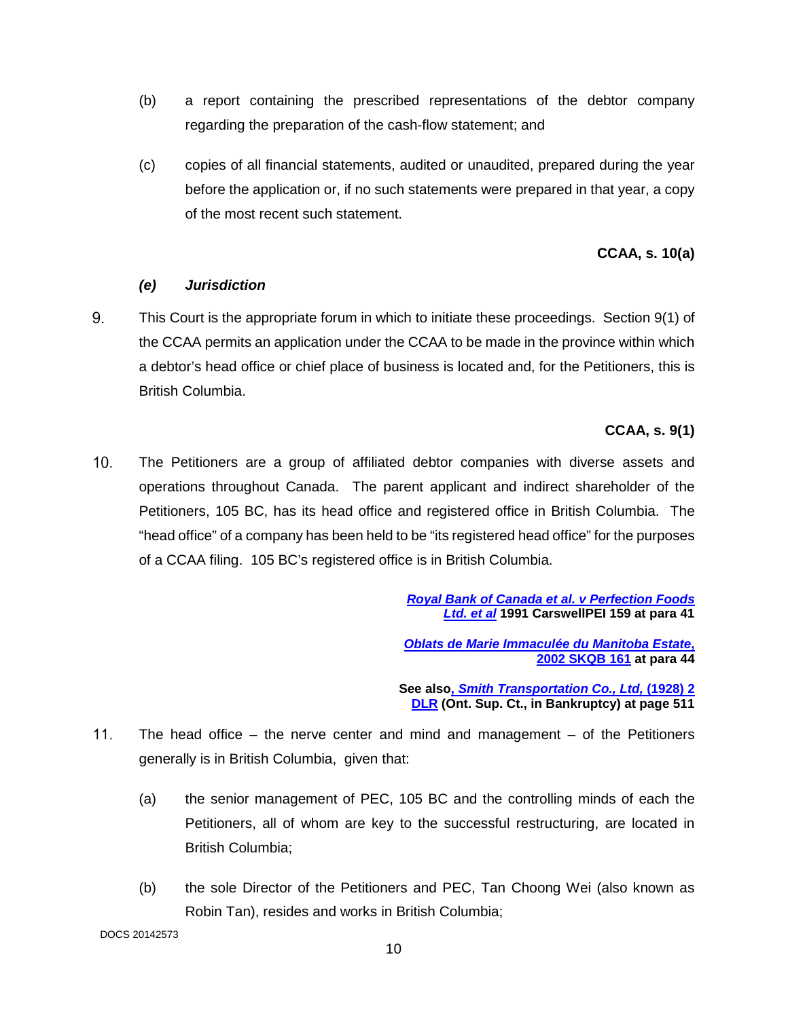- (b) a report containing the prescribed representations of the debtor company regarding the preparation of the cash-flow statement; and
- (c) copies of all financial statements, audited or unaudited, prepared during the year before the application or, if no such statements were prepared in that year, a copy of the most recent such statement.

## **CCAA, s. 10(a)**

## *(e) Jurisdiction*

9. This Court is the appropriate forum in which to initiate these proceedings. Section 9(1) of the CCAA permits an application under the CCAA to be made in the province within which a debtor's head office or chief place of business is located and, for the Petitioners, this is British Columbia.

## **CCAA, s. 9(1)**

 The Petitioners are a group of affiliated debtor companies with diverse assets and operations throughout Canada. The parent applicant and indirect shareholder of the Petitioners, 105 BC, has its head office and registered office in British Columbia. The "head office" of a company has been held to be "its registered head office" for the purposes of a CCAA filing. 105 BC's registered office is in British Columbia.

> *[Royal Bank of Canada et al. v Perfection Foods](https://nextcanada.westlaw.com/Document/Ie7269f33271044ebe0440021280d7cce/View/FullText.html?transitionType=UniqueDocItem&contextData=(sc.UserEnteredCitation)&userEnteredCitation=1991+CarswellPEI+159)  [Ltd. et al](https://nextcanada.westlaw.com/Document/Ie7269f33271044ebe0440021280d7cce/View/FullText.html?transitionType=UniqueDocItem&contextData=(sc.UserEnteredCitation)&userEnteredCitation=1991+CarswellPEI+159)* **1991 CarswellPEI 159 at para 41**

*[Oblats de Marie Immaculée du Manitoba Estate](https://www.canlii.org/en/sk/skqb/doc/2002/2002skqb161/2002skqb161.pdf)***, [2002 SKQB 161](https://www.canlii.org/en/sk/skqb/doc/2002/2002skqb161/2002skqb161.pdf) at para 44** 

**See also,** *[Smith Transportation Co., Ltd,](https://www.canlii.org/en/on/onsc/doc/1928/1928canlii421/1928canlii421.pdf)* **(1928) 2 [DLR](https://www.canlii.org/en/on/onsc/doc/1928/1928canlii421/1928canlii421.pdf) (Ont. Sup. Ct., in Bankruptcy) at page 511** 

- The head office the nerve center and mind and management of the Petitioners generally is in British Columbia, given that:
	- (a) the senior management of PEC, 105 BC and the controlling minds of each the Petitioners, all of whom are key to the successful restructuring, are located in British Columbia;
	- (b) the sole Director of the Petitioners and PEC, Tan Choong Wei (also known as Robin Tan), resides and works in British Columbia;

DOCS 20142573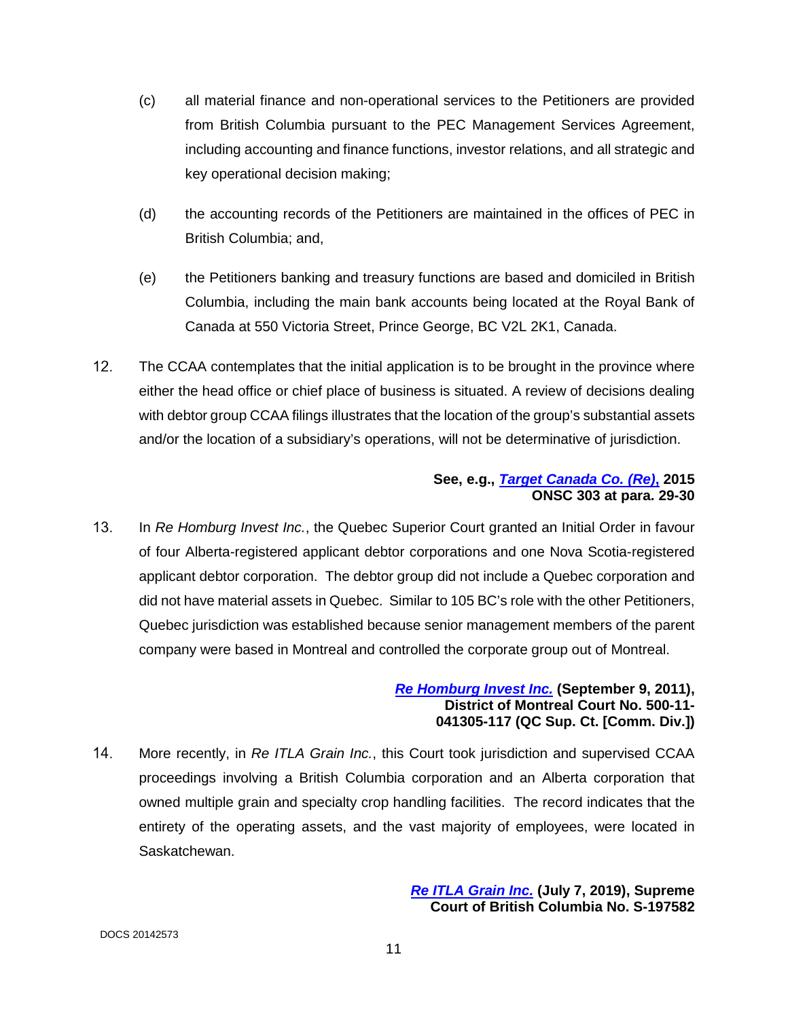- (c) all material finance and non-operational services to the Petitioners are provided from British Columbia pursuant to the PEC Management Services Agreement, including accounting and finance functions, investor relations, and all strategic and key operational decision making;
- (d) the accounting records of the Petitioners are maintained in the offices of PEC in British Columbia; and,
- (e) the Petitioners banking and treasury functions are based and domiciled in British Columbia, including the main bank accounts being located at the Royal Bank of Canada at 550 Victoria Street, Prince George, BC V2L 2K1, Canada.
- 12. The CCAA contemplates that the initial application is to be brought in the province where either the head office or chief place of business is situated. A review of decisions dealing with debtor group CCAA filings illustrates that the location of the group's substantial assets and/or the location of a subsidiary's operations, will not be determinative of jurisdiction.

### **See, e.g.,** *[Target Canada Co. \(Re\)](https://www.canlii.org/en/on/onsc/doc/2015/2015onsc303/2015onsc303.pdf)***, 2015 ONSC 303 at para. 29-30**

 In *Re Homburg Invest Inc.*, the Quebec Superior Court granted an Initial Order in favour of four Alberta-registered applicant debtor corporations and one Nova Scotia-registered applicant debtor corporation. The debtor group did not include a Quebec corporation and did not have material assets in Quebec. Similar to 105 BC's role with the other Petitioners, Quebec jurisdiction was established because senior management members of the parent company were based in Montreal and controlled the corporate group out of Montreal.

## *[Re Homburg Invest Inc.](https://www.insolvencies.deloitte.ca/Documents/ca_en_insolv_Homburg_Judgement_AmendedMotionForInitialOrder_20110909.pdf)* **(September 9, 2011), District of Montreal Court No. 500-11- 041305-117 (QC Sup. Ct. [Comm. Div.])**

 More recently, in *Re ITLA Grain Inc.*, this Court took jurisdiction and supervised CCAA proceedings involving a British Columbia corporation and an Alberta corporation that owned multiple grain and specialty crop handling facilities. The record indicates that the entirety of the operating assets, and the vast majority of employees, were located in Saskatchewan.

> *[Re ITLA Grain Inc.](https://www.pwc.com/ca/en/car/ilta-grain/assets/ilta-grain-005_070819.pdf)* **(July 7, 2019), Supreme Court of British Columbia No. S-197582**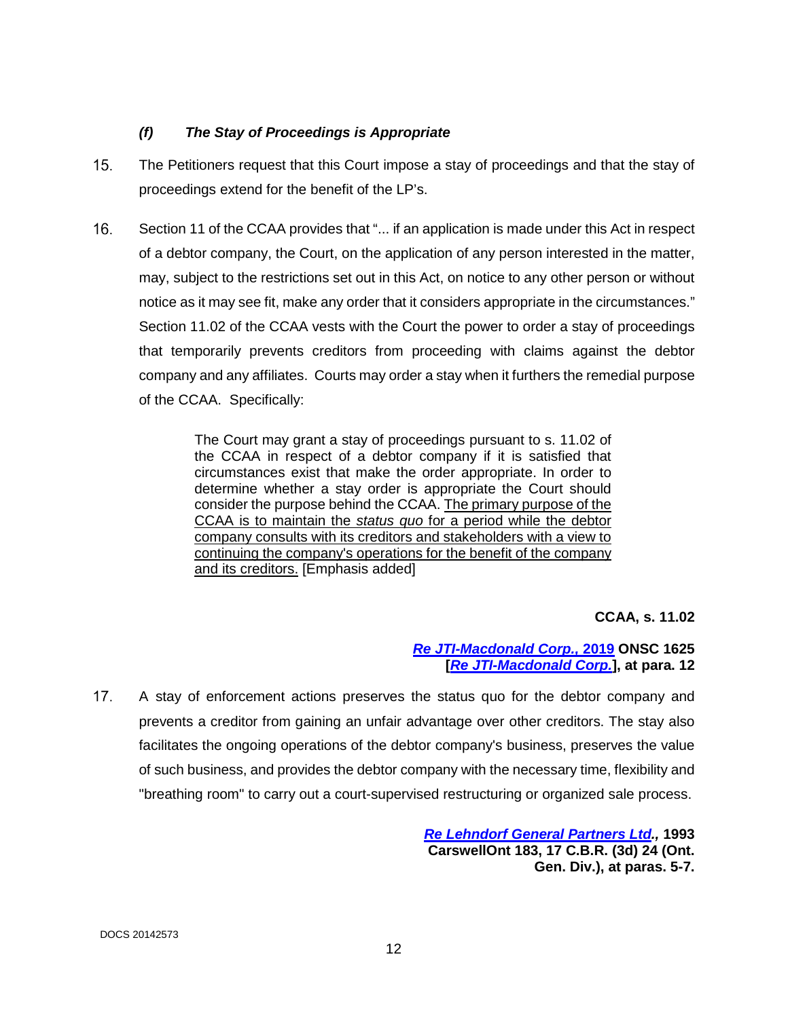## *(f) The Stay of Proceedings is Appropriate*

- The Petitioners request that this Court impose a stay of proceedings and that the stay of proceedings extend for the benefit of the LP's.
- 16. Section 11 of the CCAA provides that "... if an application is made under this Act in respect of a debtor company, the Court, on the application of any person interested in the matter, may, subject to the restrictions set out in this Act, on notice to any other person or without notice as it may see fit, make any order that it considers appropriate in the circumstances." Section 11.02 of the CCAA vests with the Court the power to order a stay of proceedings that temporarily prevents creditors from proceeding with claims against the debtor company and any affiliates. Courts may order a stay when it furthers the remedial purpose of the CCAA. Specifically:

The Court may grant a stay of proceedings pursuant to s. 11.02 of the CCAA in respect of a debtor company if it is satisfied that circumstances exist that make the order appropriate. In order to determine whether a stay order is appropriate the Court should consider the purpose behind the CCAA. The primary purpose of the CCAA is to maintain the *status quo* for a period while the debtor company consults with its creditors and stakeholders with a view to continuing the company's operations for the benefit of the company and its creditors. [Emphasis added]

**CCAA, s. 11.02** 

## *[Re JTI-Macdonald Corp.,](https://www.canlii.org/en/on/onsc/doc/2019/2019onsc1625/2019onsc1625.pdf)* **2019 ONSC 1625 [***[Re JTI-Macdonald Corp.](https://www.canlii.org/en/on/onsc/doc/2019/2019onsc1625/2019onsc1625.pdf)***], at para. 12**

17. A stay of enforcement actions preserves the status quo for the debtor company and prevents a creditor from gaining an unfair advantage over other creditors. The stay also facilitates the ongoing operations of the debtor company's business, preserves the value of such business, and provides the debtor company with the necessary time, flexibility and "breathing room" to carry out a court-supervised restructuring or organized sale process.

> *[Re Lehndorf General Partners Ltd.](https://nextcanada.westlaw.com/Document/I10b717cfa2ee63f0e0440003ba0d6c6d/View/FullText.html?transitionType=UniqueDocItem&contextData=(sc.Default)&userEnteredCitation=1993+CarswellOnt+183),* **1993 CarswellOnt 183, 17 C.B.R. (3d) 24 (Ont. Gen. Div.), at paras. 5-7.**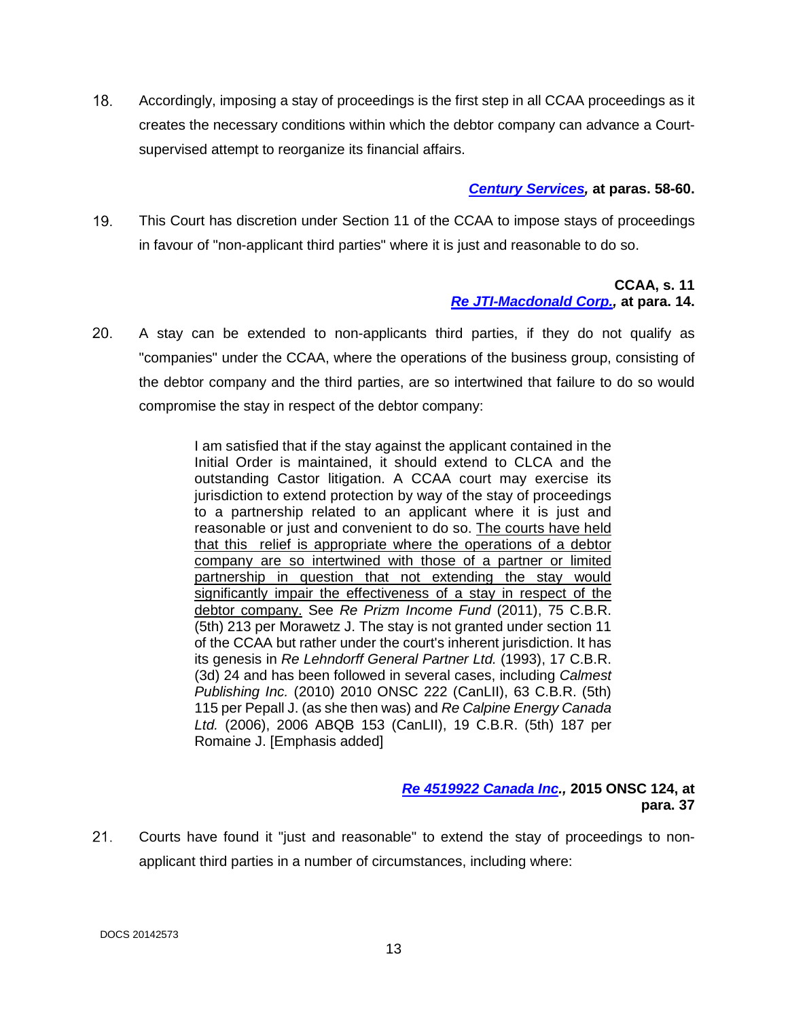Accordingly, imposing a stay of proceedings is the first step in all CCAA proceedings as it creates the necessary conditions within which the debtor company can advance a Courtsupervised attempt to reorganize its financial affairs.

## *[Century Services,](https://www.canlii.org/en/ca/scc/doc/2010/2010scc60/2010scc60.pdf)* **at paras. 58-60.**

 This Court has discretion under Section 11 of the CCAA to impose stays of proceedings in favour of "non-applicant third parties" where it is just and reasonable to do so.

#### **CCAA, s. 11**  *[Re JTI-Macdonald Corp.,](https://www.canlii.org/en/on/onsc/doc/2019/2019onsc1625/2019onsc1625.pdf)* **at para. 14.**

 A stay can be extended to non-applicants third parties, if they do not qualify as "companies" under the CCAA, where the operations of the business group, consisting of the debtor company and the third parties, are so intertwined that failure to do so would compromise the stay in respect of the debtor company:

> I am satisfied that if the stay against the applicant contained in the Initial Order is maintained, it should extend to CLCA and the outstanding Castor litigation. A CCAA court may exercise its jurisdiction to extend protection by way of the stay of proceedings to a partnership related to an applicant where it is just and reasonable or just and convenient to do so. The courts have held that this relief is appropriate where the operations of a debtor company are so intertwined with those of a partner or limited partnership in question that not extending the stay would significantly impair the effectiveness of a stay in respect of the debtor company. See *Re Prizm Income Fund* (2011), 75 C.B.R. (5th) 213 per Morawetz J. The stay is not granted under section 11 of the CCAA but rather under the court's inherent jurisdiction. It has its genesis in *Re Lehndorff General Partner Ltd.* (1993), 17 C.B.R. (3d) 24 and has been followed in several cases, including *Calmest Publishing Inc.* (2010) 2010 ONSC 222 (CanLII), 63 C.B.R. (5th) 115 per Pepall J. (as she then was) and *Re Calpine Energy Canada Ltd.* (2006), 2006 ABQB 153 (CanLII), 19 C.B.R. (5th) 187 per Romaine J. [Emphasis added]

### *[Re 4519922 Canada Inc.](https://www.canlii.org/en/on/onsc/doc/2015/2015onsc124/2015onsc124.pdf),* **2015 ONSC 124, at para. 37**

 Courts have found it "just and reasonable" to extend the stay of proceedings to nonapplicant third parties in a number of circumstances, including where: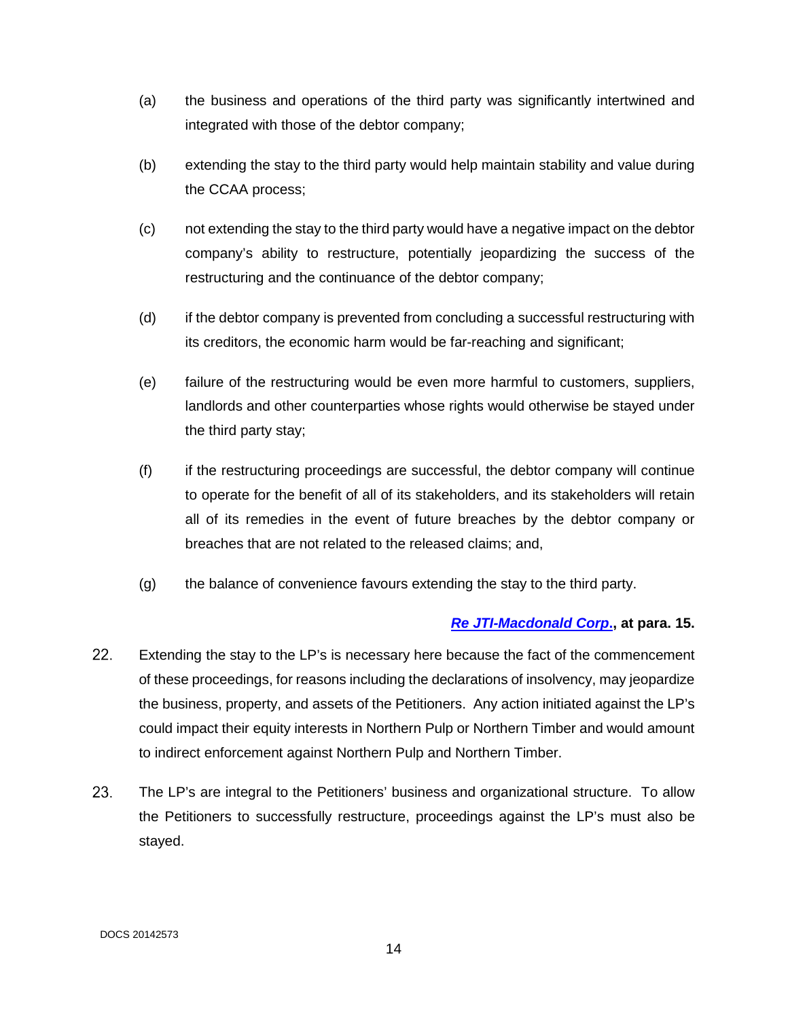- (a) the business and operations of the third party was significantly intertwined and integrated with those of the debtor company;
- (b) extending the stay to the third party would help maintain stability and value during the [CCAA](https://www.canlii.org/en/ca/laws/stat/rsc-1985-c-c-36/latest/rsc-1985-c-c-36.html) process;
- (c) not extending the stay to the third party would have a negative impact on the debtor company's ability to restructure, potentially jeopardizing the success of the restructuring and the continuance of the debtor company;
- (d) if the debtor company is prevented from concluding a successful restructuring with its creditors, the economic harm would be far-reaching and significant;
- (e) failure of the restructuring would be even more harmful to customers, suppliers, landlords and other counterparties whose rights would otherwise be stayed under the third party stay;
- (f) if the restructuring proceedings are successful, the debtor company will continue to operate for the benefit of all of its stakeholders, and its stakeholders will retain all of its remedies in the event of future breaches by the debtor company or breaches that are not related to the released claims; and,
- (g) the balance of convenience favours extending the stay to the third party.

### *[Re JTI-Macdonald Corp](https://www.canlii.org/en/on/onsc/doc/2019/2019onsc1625/2019onsc1625.pdf)***., at para. 15.**

- 22. Extending the stay to the LP's is necessary here because the fact of the commencement of these proceedings, for reasons including the declarations of insolvency, may jeopardize the business, property, and assets of the Petitioners. Any action initiated against the LP's could impact their equity interests in Northern Pulp or Northern Timber and would amount to indirect enforcement against Northern Pulp and Northern Timber.
- The LP's are integral to the Petitioners' business and organizational structure. To allow the Petitioners to successfully restructure, proceedings against the LP's must also be stayed.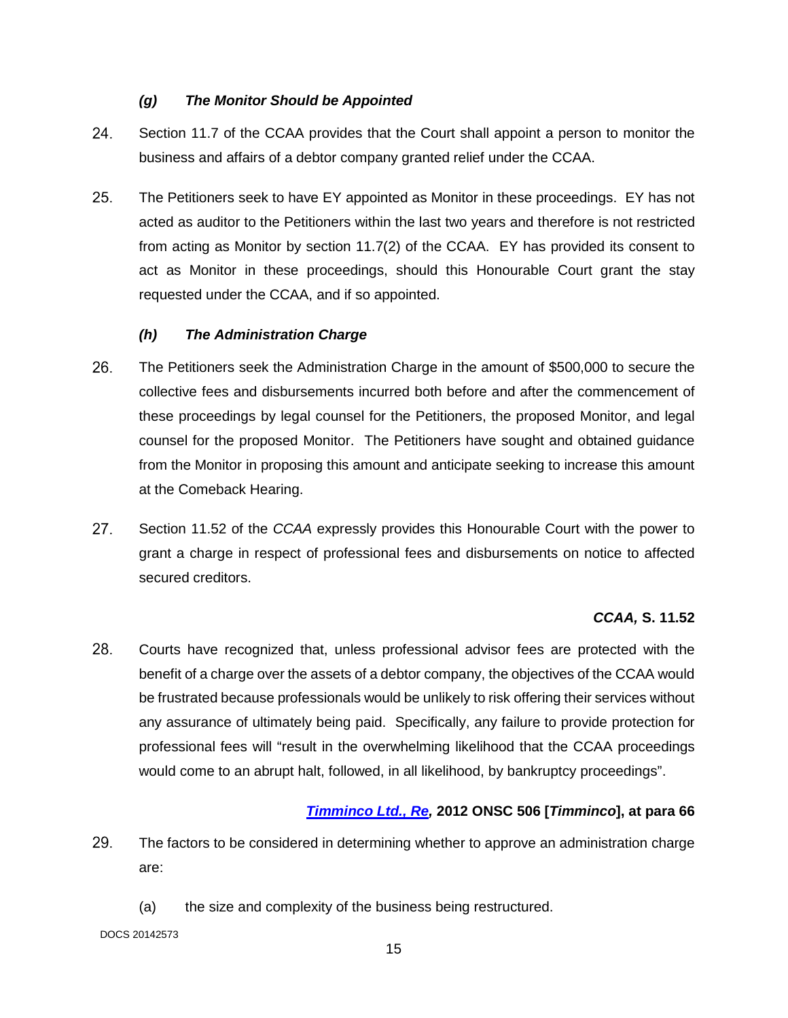## *(g) The Monitor Should be Appointed*

- 24. Section 11.7 of the CCAA provides that the Court shall appoint a person to monitor the business and affairs of a debtor company granted relief under the CCAA.
- The Petitioners seek to have EY appointed as Monitor in these proceedings. EY has not acted as auditor to the Petitioners within the last two years and therefore is not restricted from acting as Monitor by section 11.7(2) of the CCAA. EY has provided its consent to act as Monitor in these proceedings, should this Honourable Court grant the stay requested under the CCAA, and if so appointed.

## *(h) The Administration Charge*

- The Petitioners seek the Administration Charge in the amount of \$500,000 to secure the collective fees and disbursements incurred both before and after the commencement of these proceedings by legal counsel for the Petitioners, the proposed Monitor, and legal counsel for the proposed Monitor. The Petitioners have sought and obtained guidance from the Monitor in proposing this amount and anticipate seeking to increase this amount at the Comeback Hearing.
- 27. Section 11.52 of the *CCAA* expressly provides this Honourable Court with the power to grant a charge in respect of professional fees and disbursements on notice to affected secured creditors.

### *CCAA,* **S. 11.52**

 Courts have recognized that, unless professional advisor fees are protected with the benefit of a charge over the assets of a debtor company, the objectives of the CCAA would be frustrated because professionals would be unlikely to risk offering their services without any assurance of ultimately being paid. Specifically, any failure to provide protection for professional fees will "result in the overwhelming likelihood that the CCAA proceedings would come to an abrupt halt, followed, in all likelihood, by bankruptcy proceedings".

# *[Timminco Ltd., Re,](https://www.canlii.org/en/on/onsc/doc/2012/2012onsc506/2012onsc506.pdf)* **2012 ONSC 506 [***Timminco***], at para 66**

- The factors to be considered in determining whether to approve an administration charge are:
	- (a) the size and complexity of the business being restructured.

DOCS 20142573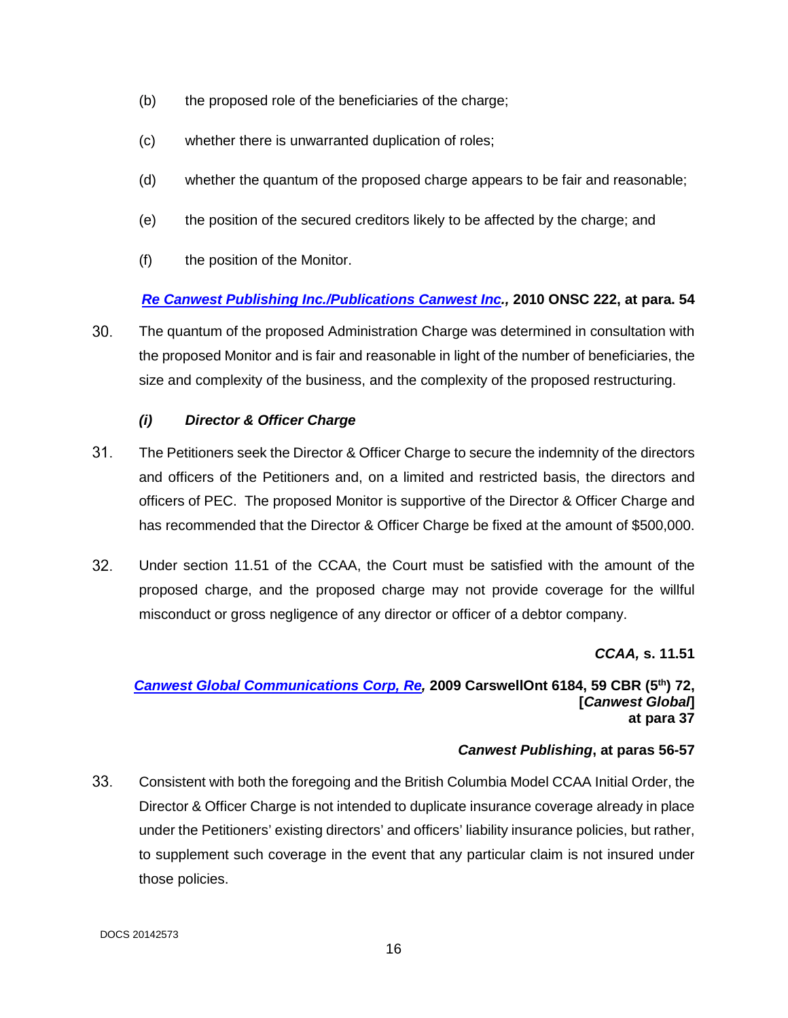- (b) the proposed role of the beneficiaries of the charge;
- (c) whether there is unwarranted duplication of roles;
- (d) whether the quantum of the proposed charge appears to be fair and reasonable;
- (e) the position of the secured creditors likely to be affected by the charge; and
- (f) the position of the Monitor.

## *[Re Canwest Publishing Inc./Publications Canwest Inc.](https://www.canlii.org/en/on/onsc/doc/2010/2010onsc222/2010onsc222.pdf),* **2010 ONSC 222, at para. 54**

 The quantum of the proposed Administration Charge was determined in consultation with the proposed Monitor and is fair and reasonable in light of the number of beneficiaries, the size and complexity of the business, and the complexity of the proposed restructuring.

## *(i) Director & Officer Charge*

- The Petitioners seek the Director & Officer Charge to secure the indemnity of the directors and officers of the Petitioners and, on a limited and restricted basis, the directors and officers of PEC. The proposed Monitor is supportive of the Director & Officer Charge and has recommended that the Director & Officer Charge be fixed at the amount of \$500,000.
- Under section 11.51 of the CCAA, the Court must be satisfied with the amount of the proposed charge, and the proposed charge may not provide coverage for the willful misconduct or gross negligence of any director or officer of a debtor company.

*CCAA,* **s. 11.51** 

#### *[Canwest Global Communications Corp, Re,](https://www.canlii.org/en/on/onsc/doc/2009/2009canlii55114/2009canlii55114.pdf)* **2009 CarswellOnt 6184, 59 CBR (5th) 72, [***Canwest Global***] at para 37**

### *Canwest Publishing***, at paras 56-57**

 Consistent with both the foregoing and the British Columbia Model CCAA Initial Order, the Director & Officer Charge is not intended to duplicate insurance coverage already in place under the Petitioners' existing directors' and officers' liability insurance policies, but rather, to supplement such coverage in the event that any particular claim is not insured under those policies.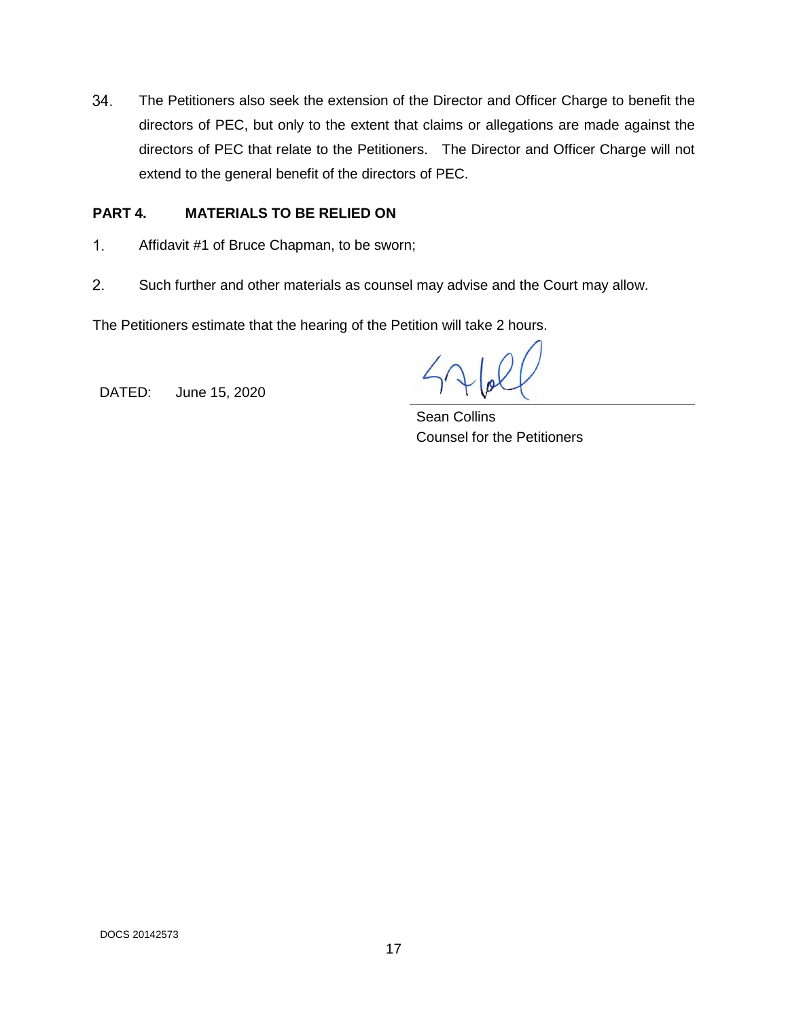The Petitioners also seek the extension of the Director and Officer Charge to benefit the directors of PEC, but only to the extent that claims or allegations are made against the directors of PEC that relate to the Petitioners. The Director and Officer Charge will not extend to the general benefit of the directors of PEC.

## **PART 4. MATERIALS TO BE RELIED ON**

- $1<sub>1</sub>$ Affidavit #1 of Bruce Chapman, to be sworn;
- $2.$ Such further and other materials as counsel may advise and the Court may allow.

The Petitioners estimate that the hearing of the Petition will take 2 hours.

DATED: June 15, 2020

Sean Collins Counsel for the Petitioners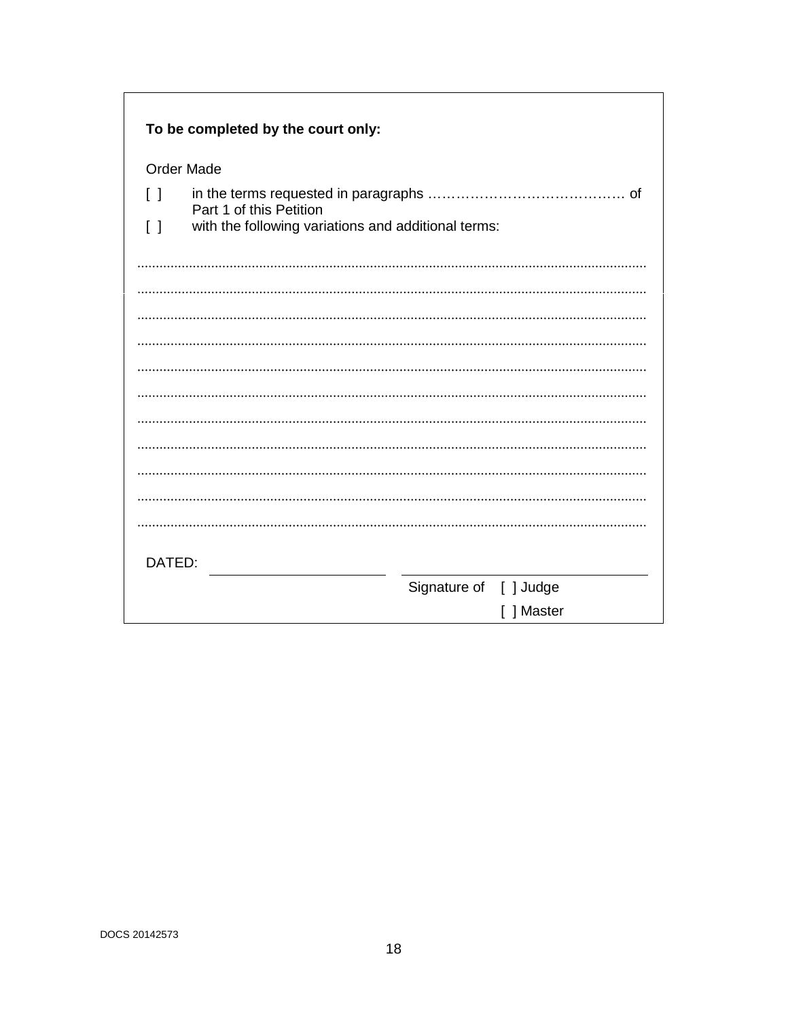| To be completed by the court only:                                                                       |                        |
|----------------------------------------------------------------------------------------------------------|------------------------|
| <b>Order Made</b>                                                                                        |                        |
| $\Box$                                                                                                   |                        |
| Part 1 of this Petition<br>with the following variations and additional terms:<br>$\left[ \quad \right]$ |                        |
|                                                                                                          |                        |
|                                                                                                          |                        |
|                                                                                                          |                        |
|                                                                                                          |                        |
|                                                                                                          |                        |
|                                                                                                          |                        |
|                                                                                                          |                        |
|                                                                                                          |                        |
|                                                                                                          |                        |
|                                                                                                          |                        |
|                                                                                                          |                        |
|                                                                                                          |                        |
|                                                                                                          |                        |
| DATED:                                                                                                   |                        |
|                                                                                                          | Signature of [ ] Judge |
|                                                                                                          | ] Master               |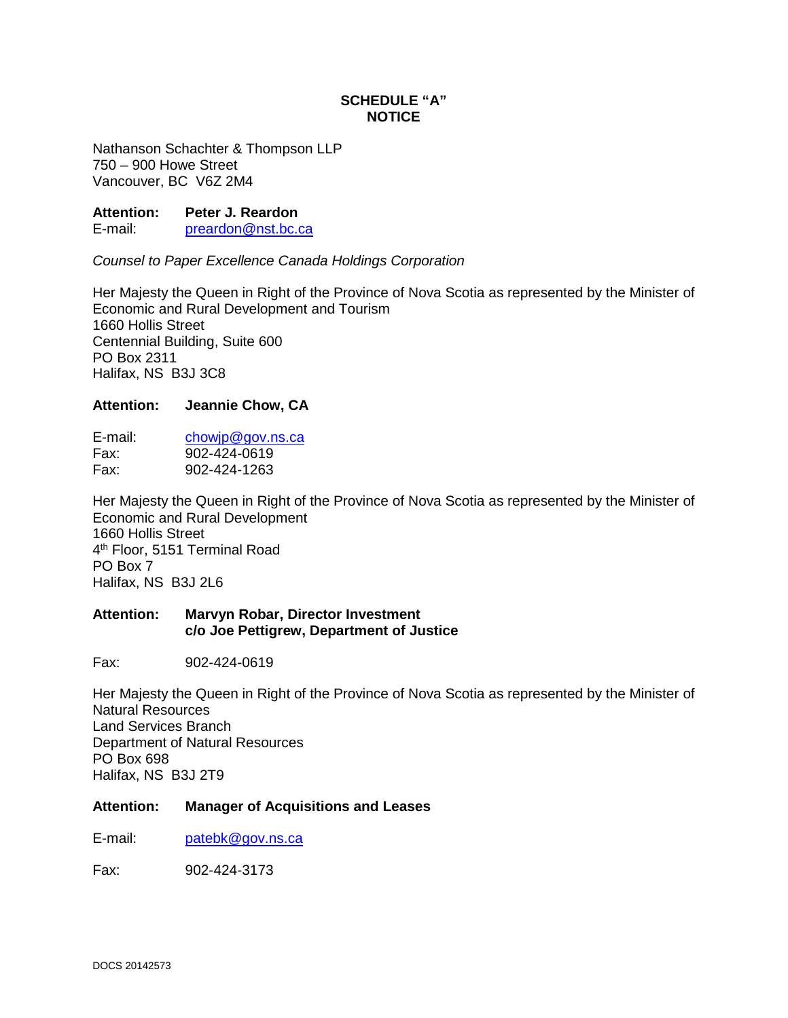## **SCHEDULE "A" NOTICE**

Nathanson Schachter & Thompson LLP 750 – 900 Howe Street Vancouver, BC V6Z 2M4

**Attention: Peter J. Reardon** 

E-mail: [preardon@nst.bc.ca](mailto:preardon@nst.bc.ca)

*Counsel to Paper Excellence Canada Holdings Corporation* 

Her Majesty the Queen in Right of the Province of Nova Scotia as represented by the Minister of Economic and Rural Development and Tourism 1660 Hollis Street Centennial Building, Suite 600 PO Box 2311 Halifax, NS B3J 3C8

#### **Attention: Jeannie Chow, CA**

E-mail: [chowjp@gov.ns.ca](mailto:chowjp@gov.ns.ca)  Fax: 902-424-0619 Fax: 902-424-1263

Her Majesty the Queen in Right of the Province of Nova Scotia as represented by the Minister of Economic and Rural Development 1660 Hollis Street 4 th Floor, 5151 Terminal Road PO Box 7 Halifax, NS B3J 2L6

#### **Attention: Marvyn Robar, Director Investment c/o Joe Pettigrew, Department of Justice**

Fax: 902-424-0619

Her Majesty the Queen in Right of the Province of Nova Scotia as represented by the Minister of Natural Resources Land Services Branch Department of Natural Resources PO Box 698 Halifax, NS B3J 2T9

#### **Attention: Manager of Acquisitions and Leases**

E-mail: [patebk@gov.ns.ca](mailto:patebk@gov.ns.ca) 

Fax: 902-424-3173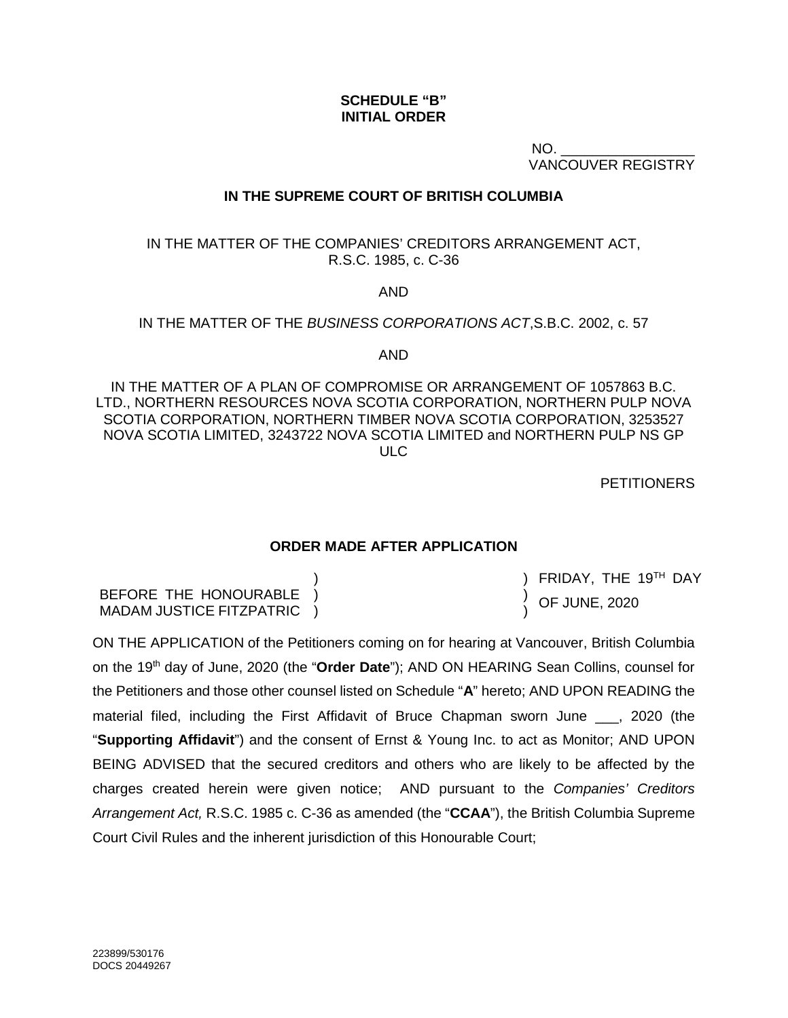### **SCHEDULE "B" INITIAL ORDER**

 $NO.$ VANCOUVER REGISTRY

## **IN THE SUPREME COURT OF BRITISH COLUMBIA**

IN THE MATTER OF THE COMPANIES' CREDITORS ARRANGEMENT ACT, R.S.C. 1985, c. C-36

AND

IN THE MATTER OF THE *BUSINESS CORPORATIONS ACT*,S.B.C. 2002, c. 57

AND

IN THE MATTER OF A PLAN OF COMPROMISE OR ARRANGEMENT OF 1057863 B.C. LTD., NORTHERN RESOURCES NOVA SCOTIA CORPORATION, NORTHERN PULP NOVA SCOTIA CORPORATION, NORTHERN TIMBER NOVA SCOTIA CORPORATION, 3253527 NOVA SCOTIA LIMITED, 3243722 NOVA SCOTIA LIMITED and NORTHERN PULP NS GP ULC

**PETITIONERS** 

FRIDAY, THE 19TH DAY

OF JUNE, 2020

### **ORDER MADE AFTER APPLICATION**

) ) )

BEFORE THE HONOURABLE MADAM JUSTICE FITZPATRIC ) ) )

ON THE APPLICATION of the Petitioners coming on for hearing at Vancouver, British Columbia on the 19th day of June, 2020 (the "**Order Date**"); AND ON HEARING Sean Collins, counsel for the Petitioners and those other counsel listed on Schedule "**A**" hereto; AND UPON READING the material filed, including the First Affidavit of Bruce Chapman sworn June \_\_\_, 2020 (the "**Supporting Affidavit**") and the consent of Ernst & Young Inc. to act as Monitor; AND UPON BEING ADVISED that the secured creditors and others who are likely to be affected by the charges created herein were given notice; AND pursuant to the *Companies' Creditors Arrangement Act,* R.S.C. 1985 c. C-36 as amended (the "**CCAA**"), the British Columbia Supreme Court Civil Rules and the inherent jurisdiction of this Honourable Court;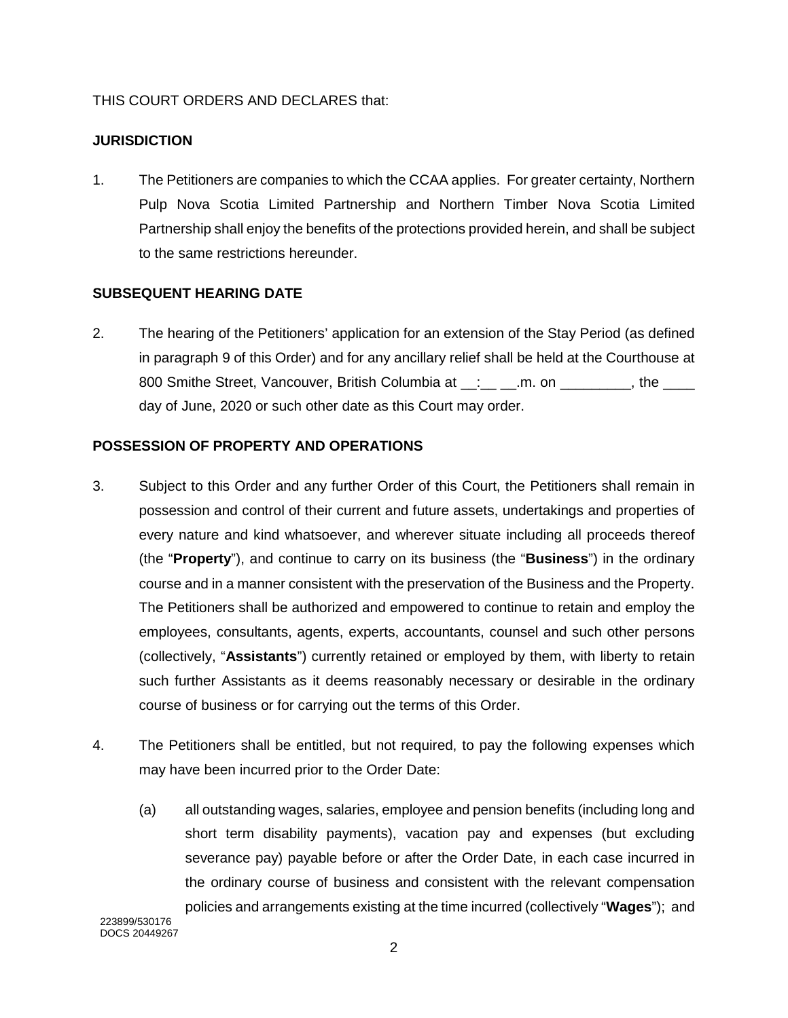## THIS COURT ORDERS AND DECLARES that:

## **JURISDICTION**

1. The Petitioners are companies to which the CCAA applies. For greater certainty, Northern Pulp Nova Scotia Limited Partnership and Northern Timber Nova Scotia Limited Partnership shall enjoy the benefits of the protections provided herein, and shall be subject to the same restrictions hereunder.

# **SUBSEQUENT HEARING DATE**

2. The hearing of the Petitioners' application for an extension of the Stay Period (as defined in paragraph [9](#page-23-0) of this Order) and for any ancillary relief shall be held at the Courthouse at 800 Smithe Street, Vancouver, British Columbia at \_\_: \_\_ \_\_.m. on \_\_\_\_\_\_\_\_, the \_\_\_\_ day of June, 2020 or such other date as this Court may order.

### **POSSESSION OF PROPERTY AND OPERATIONS**

- 3. Subject to this Order and any further Order of this Court, the Petitioners shall remain in possession and control of their current and future assets, undertakings and properties of every nature and kind whatsoever, and wherever situate including all proceeds thereof (the "**Property**"), and continue to carry on its business (the "**Business**") in the ordinary course and in a manner consistent with the preservation of the Business and the Property. The Petitioners shall be authorized and empowered to continue to retain and employ the employees, consultants, agents, experts, accountants, counsel and such other persons (collectively, "**Assistants**") currently retained or employed by them, with liberty to retain such further Assistants as it deems reasonably necessary or desirable in the ordinary course of business or for carrying out the terms of this Order.
- 4. The Petitioners shall be entitled, but not required, to pay the following expenses which may have been incurred prior to the Order Date:
	- (a) all outstanding wages, salaries, employee and pension benefits (including long and short term disability payments), vacation pay and expenses (but excluding severance pay) payable before or after the Order Date, in each case incurred in the ordinary course of business and consistent with the relevant compensation policies and arrangements existing at the time incurred (collectively "**Wages**"); and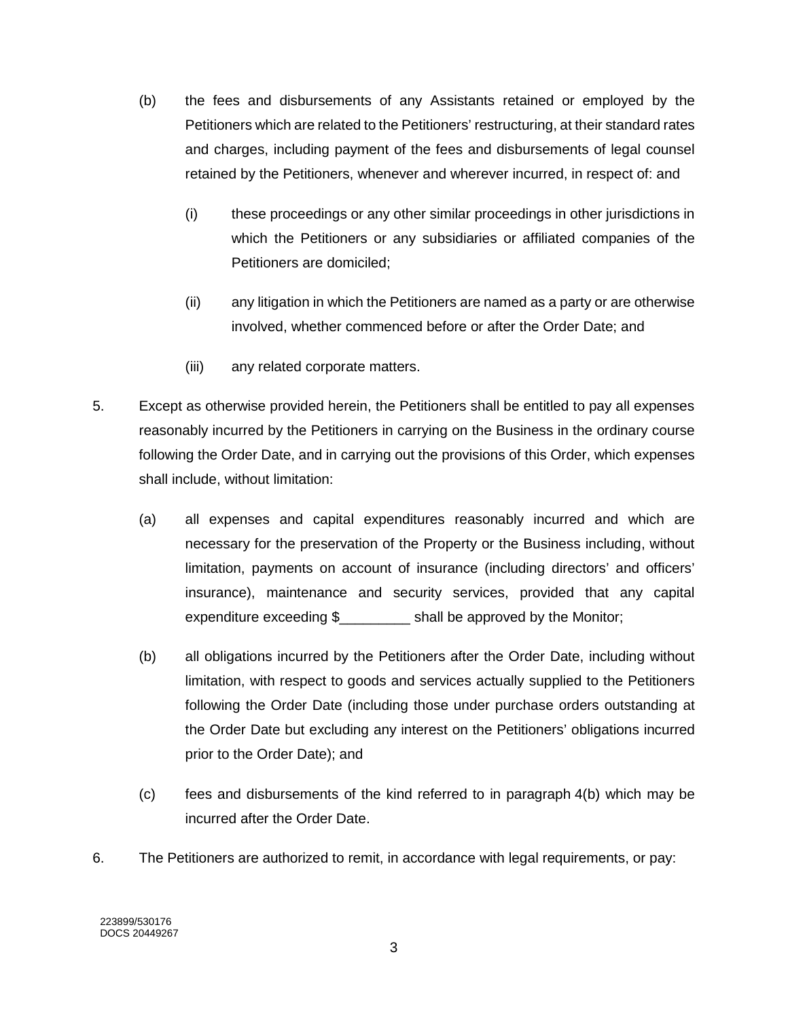- <span id="page-21-0"></span>(b) the fees and disbursements of any Assistants retained or employed by the Petitioners which are related to the Petitioners' restructuring, at their standard rates and charges, including payment of the fees and disbursements of legal counsel retained by the Petitioners, whenever and wherever incurred, in respect of: and
	- (i) these proceedings or any other similar proceedings in other jurisdictions in which the Petitioners or any subsidiaries or affiliated companies of the Petitioners are domiciled;
	- (ii) any litigation in which the Petitioners are named as a party or are otherwise involved, whether commenced before or after the Order Date; and
	- (iii) any related corporate matters.
- 5. Except as otherwise provided herein, the Petitioners shall be entitled to pay all expenses reasonably incurred by the Petitioners in carrying on the Business in the ordinary course following the Order Date, and in carrying out the provisions of this Order, which expenses shall include, without limitation:
	- (a) all expenses and capital expenditures reasonably incurred and which are necessary for the preservation of the Property or the Business including, without limitation, payments on account of insurance (including directors' and officers' insurance), maintenance and security services, provided that any capital expenditure exceeding \$ shall be approved by the Monitor;
	- (b) all obligations incurred by the Petitioners after the Order Date, including without limitation, with respect to goods and services actually supplied to the Petitioners following the Order Date (including those under purchase orders outstanding at the Order Date but excluding any interest on the Petitioners' obligations incurred prior to the Order Date); and
	- (c) fees and disbursements of the kind referred to in paragraph [4\(b\)](#page-21-0) which may be incurred after the Order Date.
- 6. The Petitioners are authorized to remit, in accordance with legal requirements, or pay: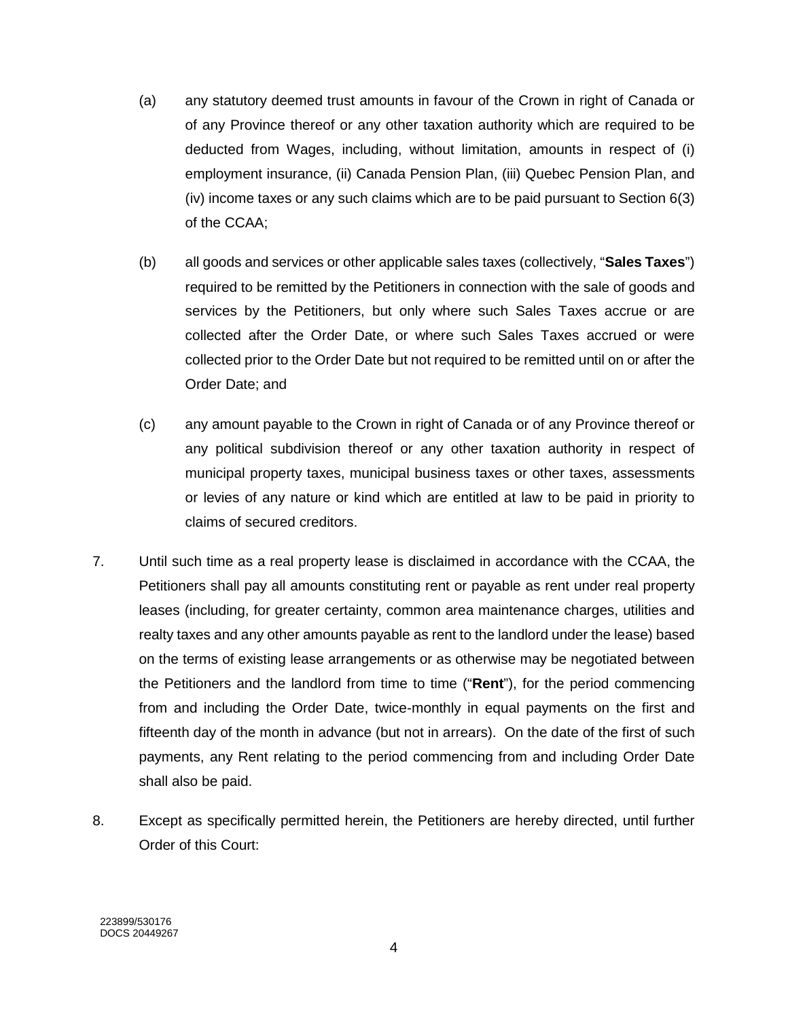- (a) any statutory deemed trust amounts in favour of the Crown in right of Canada or of any Province thereof or any other taxation authority which are required to be deducted from Wages, including, without limitation, amounts in respect of (i) employment insurance, (ii) Canada Pension Plan, (iii) Quebec Pension Plan, and (iv) income taxes or any such claims which are to be paid pursuant to Section 6(3) of the CCAA;
- (b) all goods and services or other applicable sales taxes (collectively, "**Sales Taxes**") required to be remitted by the Petitioners in connection with the sale of goods and services by the Petitioners, but only where such Sales Taxes accrue or are collected after the Order Date, or where such Sales Taxes accrued or were collected prior to the Order Date but not required to be remitted until on or after the Order Date; and
- (c) any amount payable to the Crown in right of Canada or of any Province thereof or any political subdivision thereof or any other taxation authority in respect of municipal property taxes, municipal business taxes or other taxes, assessments or levies of any nature or kind which are entitled at law to be paid in priority to claims of secured creditors.
- 7. Until such time as a real property lease is disclaimed in accordance with the CCAA, the Petitioners shall pay all amounts constituting rent or payable as rent under real property leases (including, for greater certainty, common area maintenance charges, utilities and realty taxes and any other amounts payable as rent to the landlord under the lease) based on the terms of existing lease arrangements or as otherwise may be negotiated between the Petitioners and the landlord from time to time ("**Rent**"), for the period commencing from and including the Order Date, twice-monthly in equal payments on the first and fifteenth day of the month in advance (but not in arrears). On the date of the first of such payments, any Rent relating to the period commencing from and including Order Date shall also be paid.
- 8. Except as specifically permitted herein, the Petitioners are hereby directed, until further Order of this Court: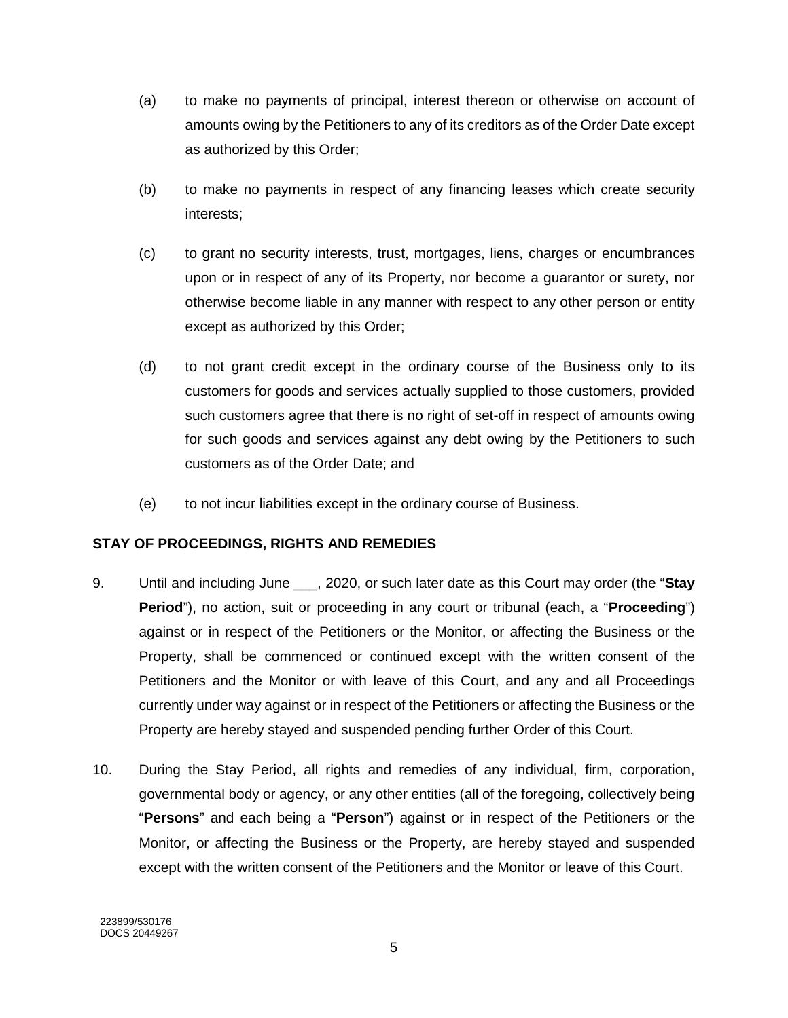- (a) to make no payments of principal, interest thereon or otherwise on account of amounts owing by the Petitioners to any of its creditors as of the Order Date except as authorized by this Order;
- (b) to make no payments in respect of any financing leases which create security interests;
- (c) to grant no security interests, trust, mortgages, liens, charges or encumbrances upon or in respect of any of its Property, nor become a guarantor or surety, nor otherwise become liable in any manner with respect to any other person or entity except as authorized by this Order;
- (d) to not grant credit except in the ordinary course of the Business only to its customers for goods and services actually supplied to those customers, provided such customers agree that there is no right of set-off in respect of amounts owing for such goods and services against any debt owing by the Petitioners to such customers as of the Order Date; and
- (e) to not incur liabilities except in the ordinary course of Business.

# **STAY OF PROCEEDINGS, RIGHTS AND REMEDIES**

- <span id="page-23-0"></span>9. Until and including June \_\_\_, 2020, or such later date as this Court may order (the "**Stay Period**"), no action, suit or proceeding in any court or tribunal (each, a "**Proceeding**") against or in respect of the Petitioners or the Monitor, or affecting the Business or the Property, shall be commenced or continued except with the written consent of the Petitioners and the Monitor or with leave of this Court, and any and all Proceedings currently under way against or in respect of the Petitioners or affecting the Business or the Property are hereby stayed and suspended pending further Order of this Court.
- <span id="page-23-1"></span>10. During the Stay Period, all rights and remedies of any individual, firm, corporation, governmental body or agency, or any other entities (all of the foregoing, collectively being "**Persons**" and each being a "**Person**") against or in respect of the Petitioners or the Monitor, or affecting the Business or the Property, are hereby stayed and suspended except with the written consent of the Petitioners and the Monitor or leave of this Court.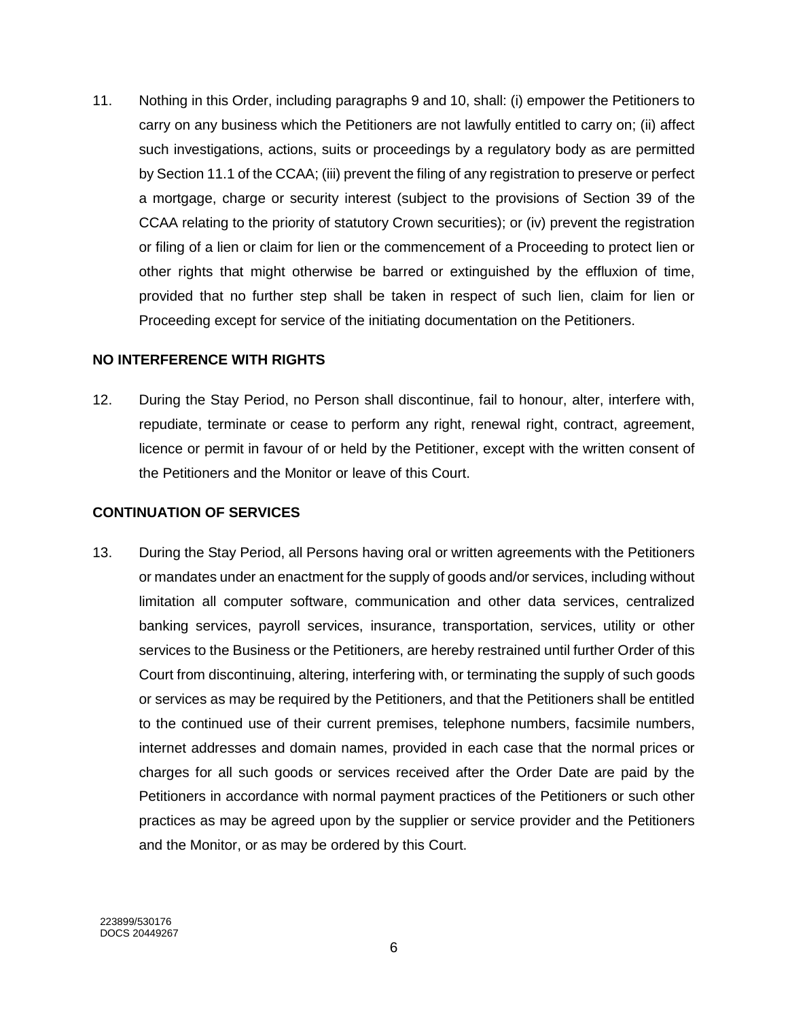11. Nothing in this Order, including paragraphs [9](#page-23-0) and [10,](#page-23-1) shall: (i) empower the Petitioners to carry on any business which the Petitioners are not lawfully entitled to carry on; (ii) affect such investigations, actions, suits or proceedings by a regulatory body as are permitted by Section 11.1 of the CCAA; (iii) prevent the filing of any registration to preserve or perfect a mortgage, charge or security interest (subject to the provisions of Section 39 of the CCAA relating to the priority of statutory Crown securities); or (iv) prevent the registration or filing of a lien or claim for lien or the commencement of a Proceeding to protect lien or other rights that might otherwise be barred or extinguished by the effluxion of time, provided that no further step shall be taken in respect of such lien, claim for lien or Proceeding except for service of the initiating documentation on the Petitioners.

### **NO INTERFERENCE WITH RIGHTS**

12. During the Stay Period, no Person shall discontinue, fail to honour, alter, interfere with, repudiate, terminate or cease to perform any right, renewal right, contract, agreement, licence or permit in favour of or held by the Petitioner, except with the written consent of the Petitioners and the Monitor or leave of this Court.

#### **CONTINUATION OF SERVICES**

13. During the Stay Period, all Persons having oral or written agreements with the Petitioners or mandates under an enactment for the supply of goods and/or services, including without limitation all computer software, communication and other data services, centralized banking services, payroll services, insurance, transportation, services, utility or other services to the Business or the Petitioners, are hereby restrained until further Order of this Court from discontinuing, altering, interfering with, or terminating the supply of such goods or services as may be required by the Petitioners, and that the Petitioners shall be entitled to the continued use of their current premises, telephone numbers, facsimile numbers, internet addresses and domain names, provided in each case that the normal prices or charges for all such goods or services received after the Order Date are paid by the Petitioners in accordance with normal payment practices of the Petitioners or such other practices as may be agreed upon by the supplier or service provider and the Petitioners and the Monitor, or as may be ordered by this Court.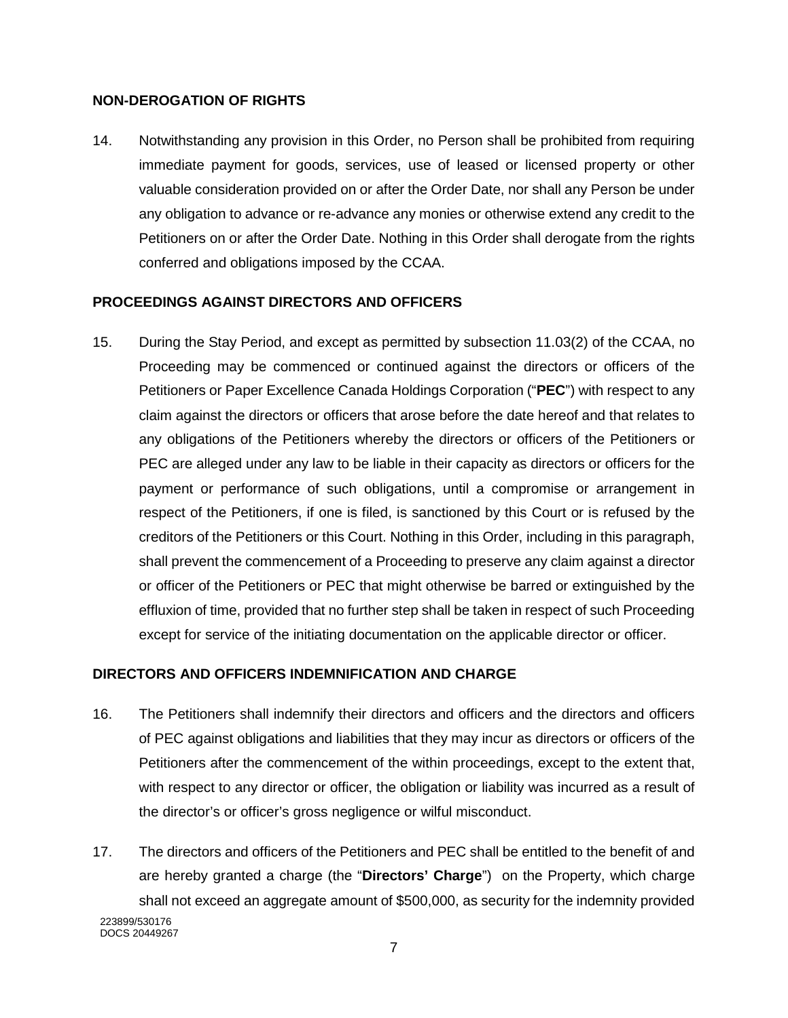### **NON-DEROGATION OF RIGHTS**

14. Notwithstanding any provision in this Order, no Person shall be prohibited from requiring immediate payment for goods, services, use of leased or licensed property or other valuable consideration provided on or after the Order Date, nor shall any Person be under any obligation to advance or re-advance any monies or otherwise extend any credit to the Petitioners on or after the Order Date. Nothing in this Order shall derogate from the rights conferred and obligations imposed by the CCAA.

## **PROCEEDINGS AGAINST DIRECTORS AND OFFICERS**

15. During the Stay Period, and except as permitted by subsection 11.03(2) of the CCAA, no Proceeding may be commenced or continued against the directors or officers of the Petitioners or Paper Excellence Canada Holdings Corporation ("**PEC**") with respect to any claim against the directors or officers that arose before the date hereof and that relates to any obligations of the Petitioners whereby the directors or officers of the Petitioners or PEC are alleged under any law to be liable in their capacity as directors or officers for the payment or performance of such obligations, until a compromise or arrangement in respect of the Petitioners, if one is filed, is sanctioned by this Court or is refused by the creditors of the Petitioners or this Court. Nothing in this Order, including in this paragraph, shall prevent the commencement of a Proceeding to preserve any claim against a director or officer of the Petitioners or PEC that might otherwise be barred or extinguished by the effluxion of time, provided that no further step shall be taken in respect of such Proceeding except for service of the initiating documentation on the applicable director or officer.

# **DIRECTORS AND OFFICERS INDEMNIFICATION AND CHARGE**

- <span id="page-25-0"></span>16. The Petitioners shall indemnify their directors and officers and the directors and officers of PEC against obligations and liabilities that they may incur as directors or officers of the Petitioners after the commencement of the within proceedings, except to the extent that, with respect to any director or officer, the obligation or liability was incurred as a result of the director's or officer's gross negligence or wilful misconduct.
- 223899/530176 17. The directors and officers of the Petitioners and PEC shall be entitled to the benefit of and are hereby granted a charge (the "**Directors' Charge**") on the Property, which charge shall not exceed an aggregate amount of \$500,000, as security for the indemnity provided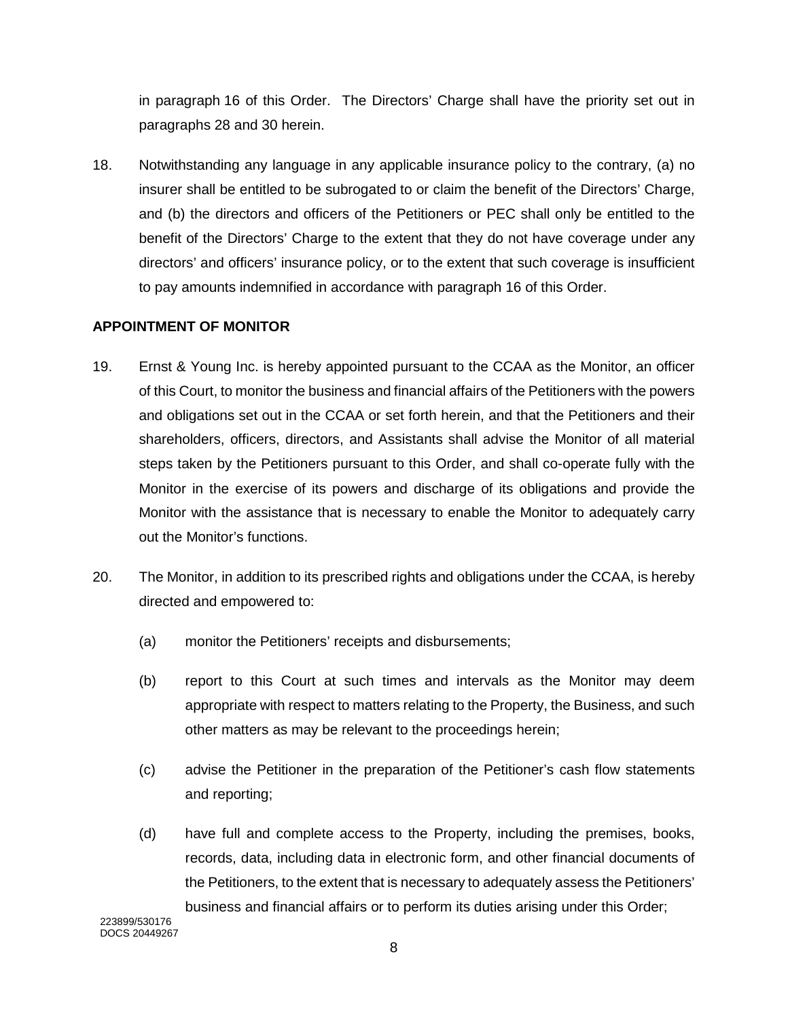in paragraph [16](#page-25-0) of this Order. The Directors' Charge shall have the priority set out in paragraphs [28](#page-29-0) and [30](#page-29-1) herein.

18. Notwithstanding any language in any applicable insurance policy to the contrary, (a) no insurer shall be entitled to be subrogated to or claim the benefit of the Directors' Charge, and (b) the directors and officers of the Petitioners or PEC shall only be entitled to the benefit of the Directors' Charge to the extent that they do not have coverage under any directors' and officers' insurance policy, or to the extent that such coverage is insufficient to pay amounts indemnified in accordance with paragraph [16](#page-25-0) of this Order.

## **APPOINTMENT OF MONITOR**

- 19. Ernst & Young Inc. is hereby appointed pursuant to the CCAA as the Monitor, an officer of this Court, to monitor the business and financial affairs of the Petitioners with the powers and obligations set out in the CCAA or set forth herein, and that the Petitioners and their shareholders, officers, directors, and Assistants shall advise the Monitor of all material steps taken by the Petitioners pursuant to this Order, and shall co-operate fully with the Monitor in the exercise of its powers and discharge of its obligations and provide the Monitor with the assistance that is necessary to enable the Monitor to adequately carry out the Monitor's functions.
- 20. The Monitor, in addition to its prescribed rights and obligations under the CCAA, is hereby directed and empowered to:
	- (a) monitor the Petitioners' receipts and disbursements;
	- (b) report to this Court at such times and intervals as the Monitor may deem appropriate with respect to matters relating to the Property, the Business, and such other matters as may be relevant to the proceedings herein;
	- (c) advise the Petitioner in the preparation of the Petitioner's cash flow statements and reporting;
	- (d) have full and complete access to the Property, including the premises, books, records, data, including data in electronic form, and other financial documents of the Petitioners, to the extent that is necessary to adequately assess the Petitioners' business and financial affairs or to perform its duties arising under this Order;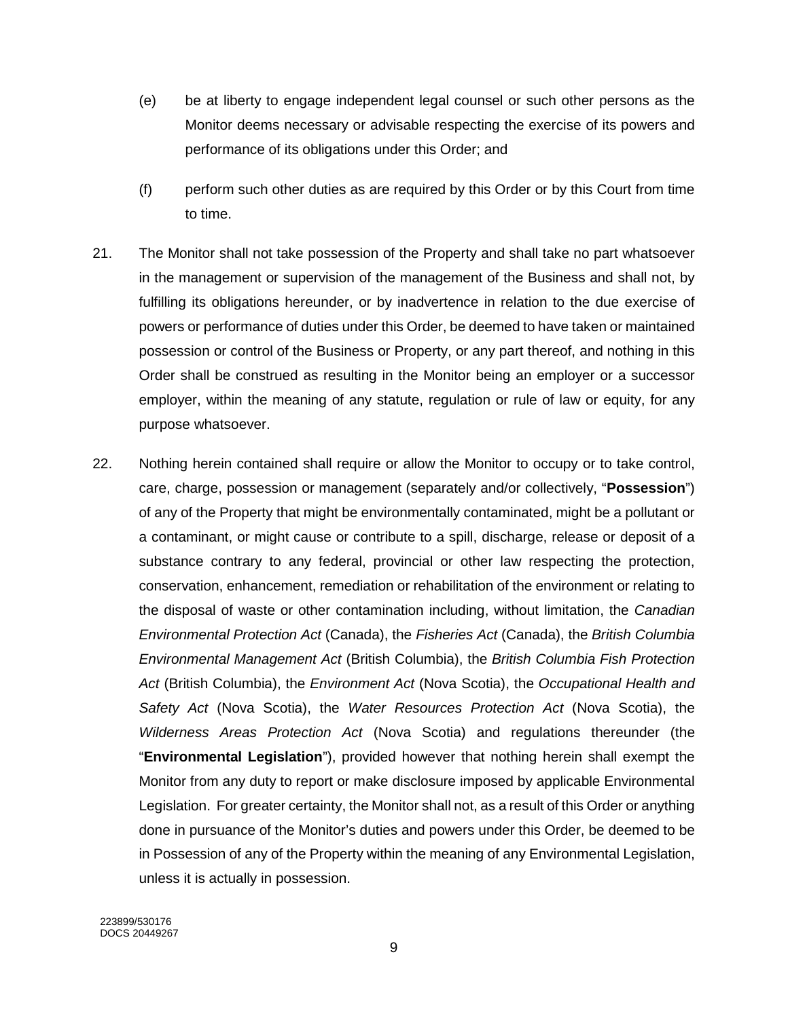- (e) be at liberty to engage independent legal counsel or such other persons as the Monitor deems necessary or advisable respecting the exercise of its powers and performance of its obligations under this Order; and
- (f) perform such other duties as are required by this Order or by this Court from time to time.
- 21. The Monitor shall not take possession of the Property and shall take no part whatsoever in the management or supervision of the management of the Business and shall not, by fulfilling its obligations hereunder, or by inadvertence in relation to the due exercise of powers or performance of duties under this Order, be deemed to have taken or maintained possession or control of the Business or Property, or any part thereof, and nothing in this Order shall be construed as resulting in the Monitor being an employer or a successor employer, within the meaning of any statute, regulation or rule of law or equity, for any purpose whatsoever.
- 22. Nothing herein contained shall require or allow the Monitor to occupy or to take control, care, charge, possession or management (separately and/or collectively, "**Possession**") of any of the Property that might be environmentally contaminated, might be a pollutant or a contaminant, or might cause or contribute to a spill, discharge, release or deposit of a substance contrary to any federal, provincial or other law respecting the protection, conservation, enhancement, remediation or rehabilitation of the environment or relating to the disposal of waste or other contamination including, without limitation, the *Canadian Environmental Protection Act* (Canada), the *Fisheries Act* (Canada), the *British Columbia Environmental Management Act* (British Columbia), the *British Columbia Fish Protection Act* (British Columbia), the *Environment Act* (Nova Scotia), the *Occupational Health and Safety Act* (Nova Scotia), the *Water Resources Protection Act* (Nova Scotia), the *Wilderness Areas Protection Act* (Nova Scotia) and regulations thereunder (the "**Environmental Legislation**"), provided however that nothing herein shall exempt the Monitor from any duty to report or make disclosure imposed by applicable Environmental Legislation. For greater certainty, the Monitor shall not, as a result of this Order or anything done in pursuance of the Monitor's duties and powers under this Order, be deemed to be in Possession of any of the Property within the meaning of any Environmental Legislation, unless it is actually in possession.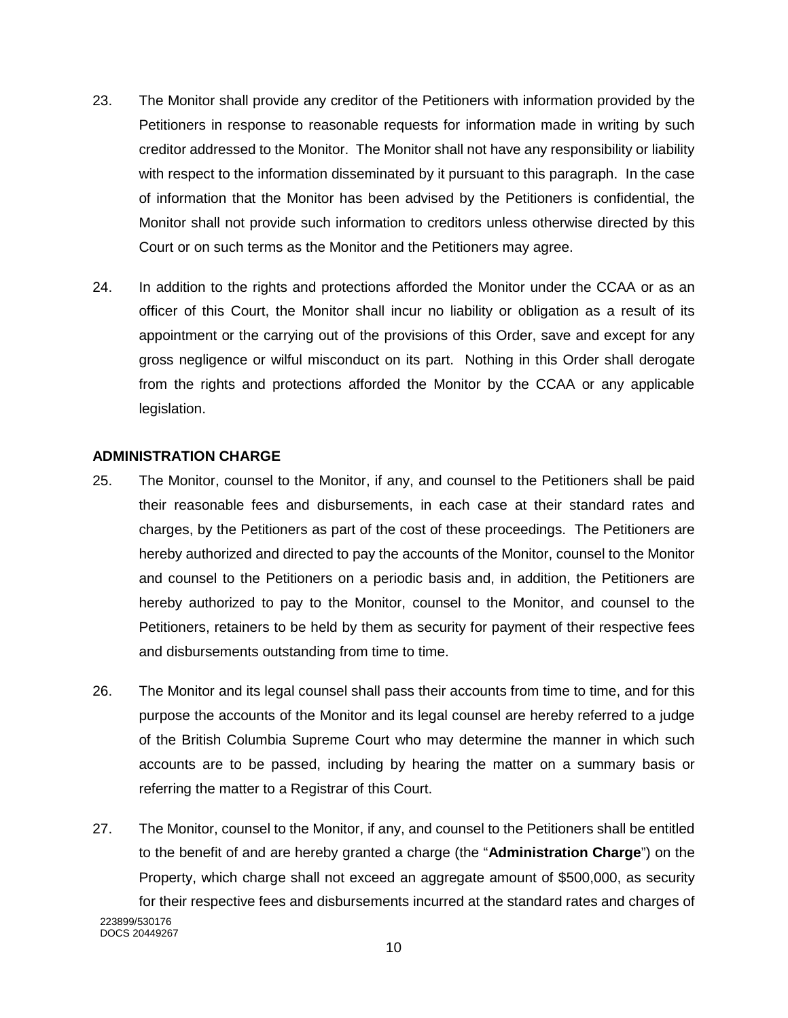- 23. The Monitor shall provide any creditor of the Petitioners with information provided by the Petitioners in response to reasonable requests for information made in writing by such creditor addressed to the Monitor. The Monitor shall not have any responsibility or liability with respect to the information disseminated by it pursuant to this paragraph. In the case of information that the Monitor has been advised by the Petitioners is confidential, the Monitor shall not provide such information to creditors unless otherwise directed by this Court or on such terms as the Monitor and the Petitioners may agree.
- 24. In addition to the rights and protections afforded the Monitor under the CCAA or as an officer of this Court, the Monitor shall incur no liability or obligation as a result of its appointment or the carrying out of the provisions of this Order, save and except for any gross negligence or wilful misconduct on its part. Nothing in this Order shall derogate from the rights and protections afforded the Monitor by the CCAA or any applicable legislation.

### **ADMINISTRATION CHARGE**

- 25. The Monitor, counsel to the Monitor, if any, and counsel to the Petitioners shall be paid their reasonable fees and disbursements, in each case at their standard rates and charges, by the Petitioners as part of the cost of these proceedings. The Petitioners are hereby authorized and directed to pay the accounts of the Monitor, counsel to the Monitor and counsel to the Petitioners on a periodic basis and, in addition, the Petitioners are hereby authorized to pay to the Monitor, counsel to the Monitor, and counsel to the Petitioners, retainers to be held by them as security for payment of their respective fees and disbursements outstanding from time to time.
- 26. The Monitor and its legal counsel shall pass their accounts from time to time, and for this purpose the accounts of the Monitor and its legal counsel are hereby referred to a judge of the British Columbia Supreme Court who may determine the manner in which such accounts are to be passed, including by hearing the matter on a summary basis or referring the matter to a Registrar of this Court.
- 223899/530176 DOCS 20449267 27. The Monitor, counsel to the Monitor, if any, and counsel to the Petitioners shall be entitled to the benefit of and are hereby granted a charge (the "**Administration Charge**") on the Property, which charge shall not exceed an aggregate amount of \$500,000, as security for their respective fees and disbursements incurred at the standard rates and charges of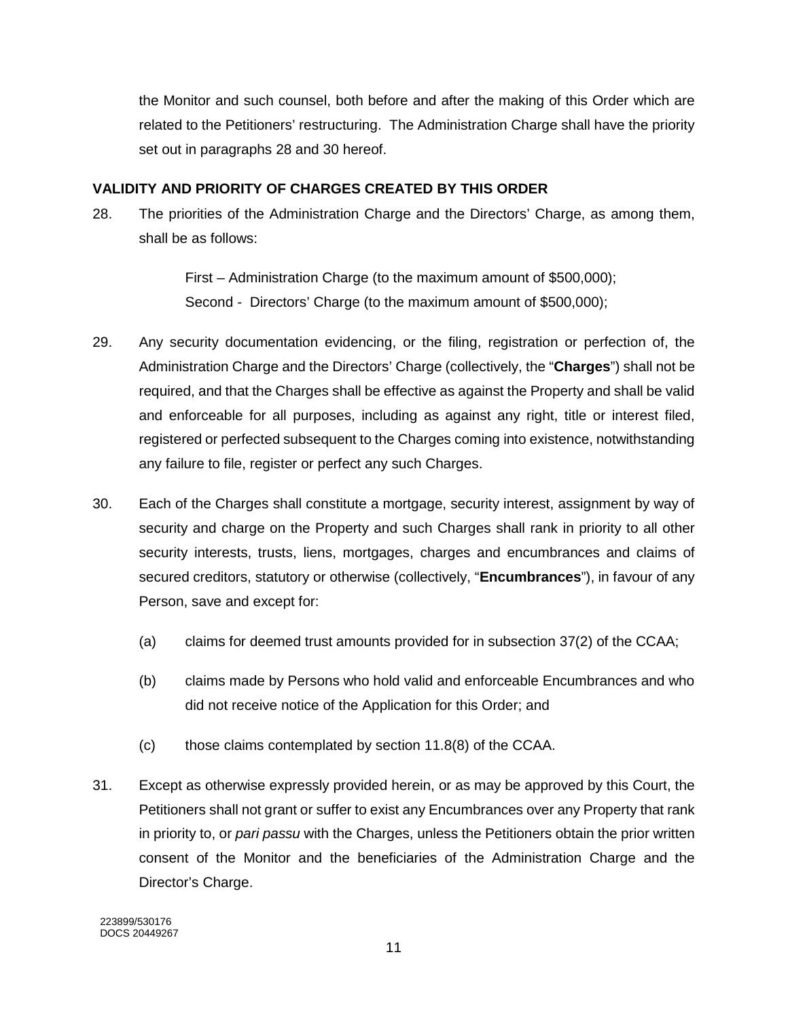the Monitor and such counsel, both before and after the making of this Order which are related to the Petitioners' restructuring. The Administration Charge shall have the priority set out in paragraphs [28](#page-29-0) and [30](#page-29-1) hereof.

## **VALIDITY AND PRIORITY OF CHARGES CREATED BY THIS ORDER**

<span id="page-29-0"></span>28. The priorities of the Administration Charge and the Directors' Charge, as among them, shall be as follows:

> First – Administration Charge (to the maximum amount of \$500,000); Second - Directors' Charge (to the maximum amount of \$500,000);

- 29. Any security documentation evidencing, or the filing, registration or perfection of, the Administration Charge and the Directors' Charge (collectively, the "**Charges**") shall not be required, and that the Charges shall be effective as against the Property and shall be valid and enforceable for all purposes, including as against any right, title or interest filed, registered or perfected subsequent to the Charges coming into existence, notwithstanding any failure to file, register or perfect any such Charges.
- <span id="page-29-1"></span>30. Each of the Charges shall constitute a mortgage, security interest, assignment by way of security and charge on the Property and such Charges shall rank in priority to all other security interests, trusts, liens, mortgages, charges and encumbrances and claims of secured creditors, statutory or otherwise (collectively, "**Encumbrances**"), in favour of any Person, save and except for:
	- (a) claims for deemed trust amounts provided for in subsection 37(2) of the CCAA;
	- (b) claims made by Persons who hold valid and enforceable Encumbrances and who did not receive notice of the Application for this Order; and
	- (c) those claims contemplated by section 11.8(8) of the CCAA.
- 31. Except as otherwise expressly provided herein, or as may be approved by this Court, the Petitioners shall not grant or suffer to exist any Encumbrances over any Property that rank in priority to, or *pari passu* with the Charges, unless the Petitioners obtain the prior written consent of the Monitor and the beneficiaries of the Administration Charge and the Director's Charge.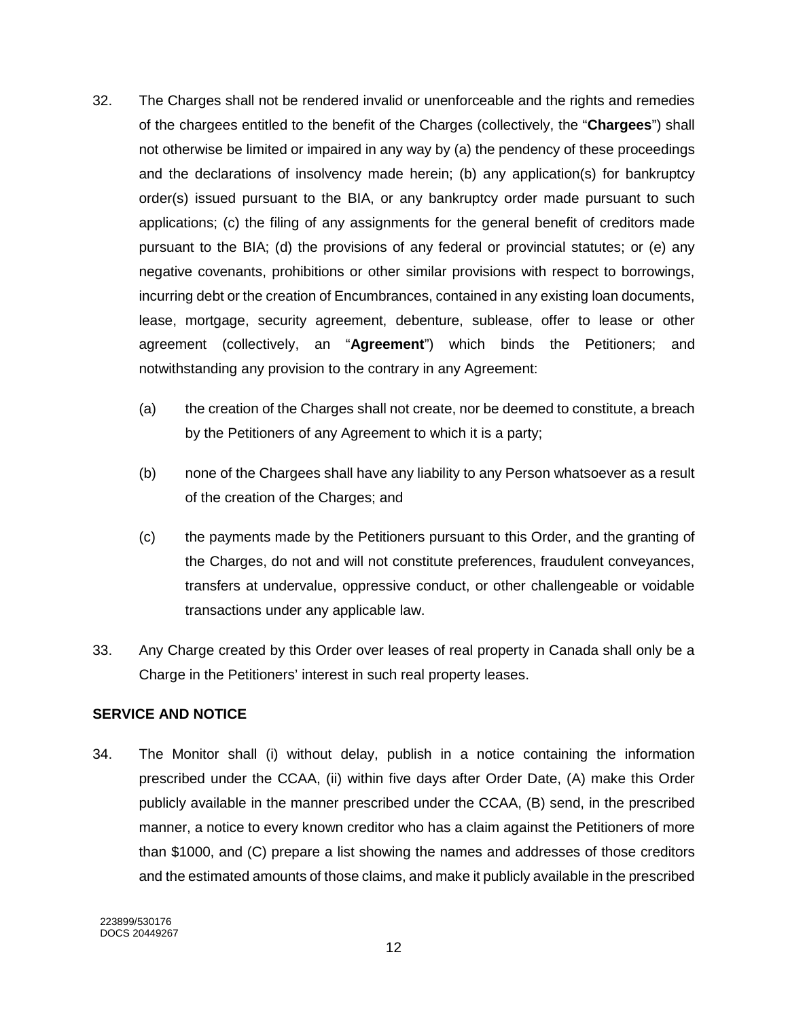- 32. The Charges shall not be rendered invalid or unenforceable and the rights and remedies of the chargees entitled to the benefit of the Charges (collectively, the "**Chargees**") shall not otherwise be limited or impaired in any way by (a) the pendency of these proceedings and the declarations of insolvency made herein; (b) any application(s) for bankruptcy order(s) issued pursuant to the BIA, or any bankruptcy order made pursuant to such applications; (c) the filing of any assignments for the general benefit of creditors made pursuant to the BIA; (d) the provisions of any federal or provincial statutes; or (e) any negative covenants, prohibitions or other similar provisions with respect to borrowings, incurring debt or the creation of Encumbrances, contained in any existing loan documents, lease, mortgage, security agreement, debenture, sublease, offer to lease or other agreement (collectively, an "**Agreement**") which binds the Petitioners; and notwithstanding any provision to the contrary in any Agreement:
	- (a) the creation of the Charges shall not create, nor be deemed to constitute, a breach by the Petitioners of any Agreement to which it is a party;
	- (b) none of the Chargees shall have any liability to any Person whatsoever as a result of the creation of the Charges; and
	- (c) the payments made by the Petitioners pursuant to this Order, and the granting of the Charges, do not and will not constitute preferences, fraudulent conveyances, transfers at undervalue, oppressive conduct, or other challengeable or voidable transactions under any applicable law.
- 33. Any Charge created by this Order over leases of real property in Canada shall only be a Charge in the Petitioners' interest in such real property leases.

# **SERVICE AND NOTICE**

34. The Monitor shall (i) without delay, publish in a notice containing the information prescribed under the CCAA, (ii) within five days after Order Date, (A) make this Order publicly available in the manner prescribed under the CCAA, (B) send, in the prescribed manner, a notice to every known creditor who has a claim against the Petitioners of more than \$1000, and (C) prepare a list showing the names and addresses of those creditors and the estimated amounts of those claims, and make it publicly available in the prescribed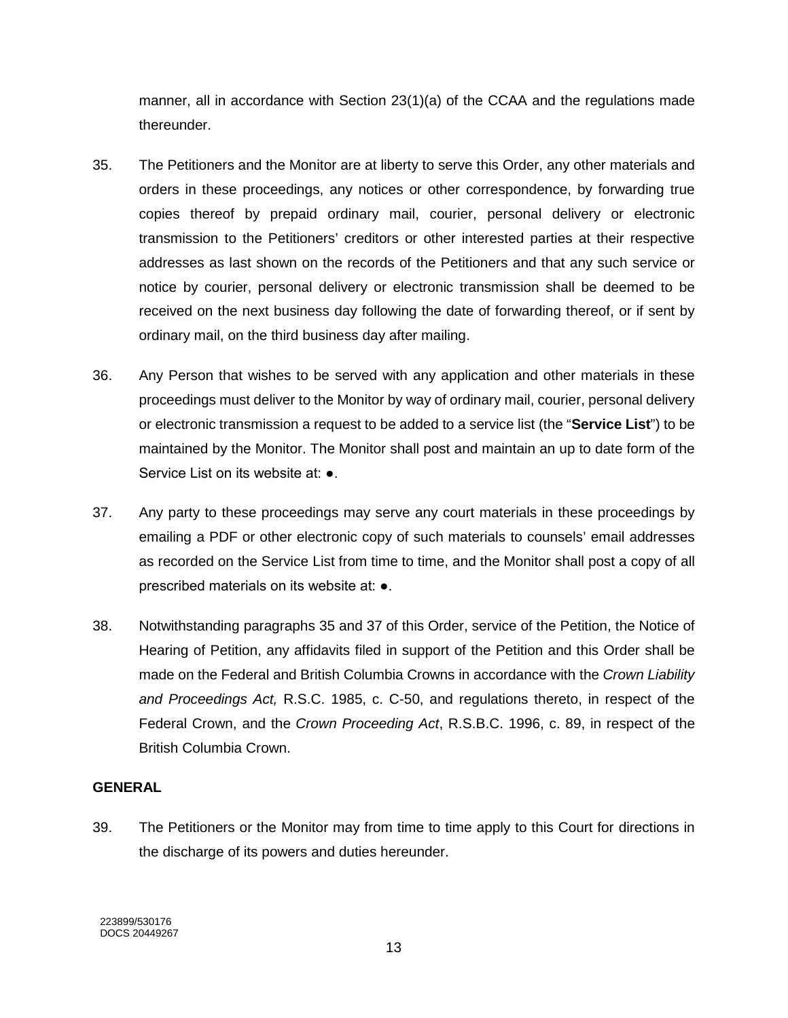manner, all in accordance with Section 23(1)(a) of the CCAA and the regulations made thereunder.

- <span id="page-31-0"></span>35. The Petitioners and the Monitor are at liberty to serve this Order, any other materials and orders in these proceedings, any notices or other correspondence, by forwarding true copies thereof by prepaid ordinary mail, courier, personal delivery or electronic transmission to the Petitioners' creditors or other interested parties at their respective addresses as last shown on the records of the Petitioners and that any such service or notice by courier, personal delivery or electronic transmission shall be deemed to be received on the next business day following the date of forwarding thereof, or if sent by ordinary mail, on the third business day after mailing.
- 36. Any Person that wishes to be served with any application and other materials in these proceedings must deliver to the Monitor by way of ordinary mail, courier, personal delivery or electronic transmission a request to be added to a service list (the "**Service List**") to be maintained by the Monitor. The Monitor shall post and maintain an up to date form of the Service List on its website at: ●.
- <span id="page-31-1"></span>37. Any party to these proceedings may serve any court materials in these proceedings by emailing a PDF or other electronic copy of such materials to counsels' email addresses as recorded on the Service List from time to time, and the Monitor shall post a copy of all prescribed materials on its website at: ●.
- 38. Notwithstanding paragraphs [35](#page-31-0) and [37](#page-31-1) of this Order, service of the Petition, the Notice of Hearing of Petition, any affidavits filed in support of the Petition and this Order shall be made on the Federal and British Columbia Crowns in accordance with the *Crown Liability and Proceedings Act,* R.S.C. 1985, c. C-50, and regulations thereto, in respect of the Federal Crown, and the *Crown Proceeding Act*, R.S.B.C. 1996, c. 89, in respect of the British Columbia Crown.

# **GENERAL**

39. The Petitioners or the Monitor may from time to time apply to this Court for directions in the discharge of its powers and duties hereunder.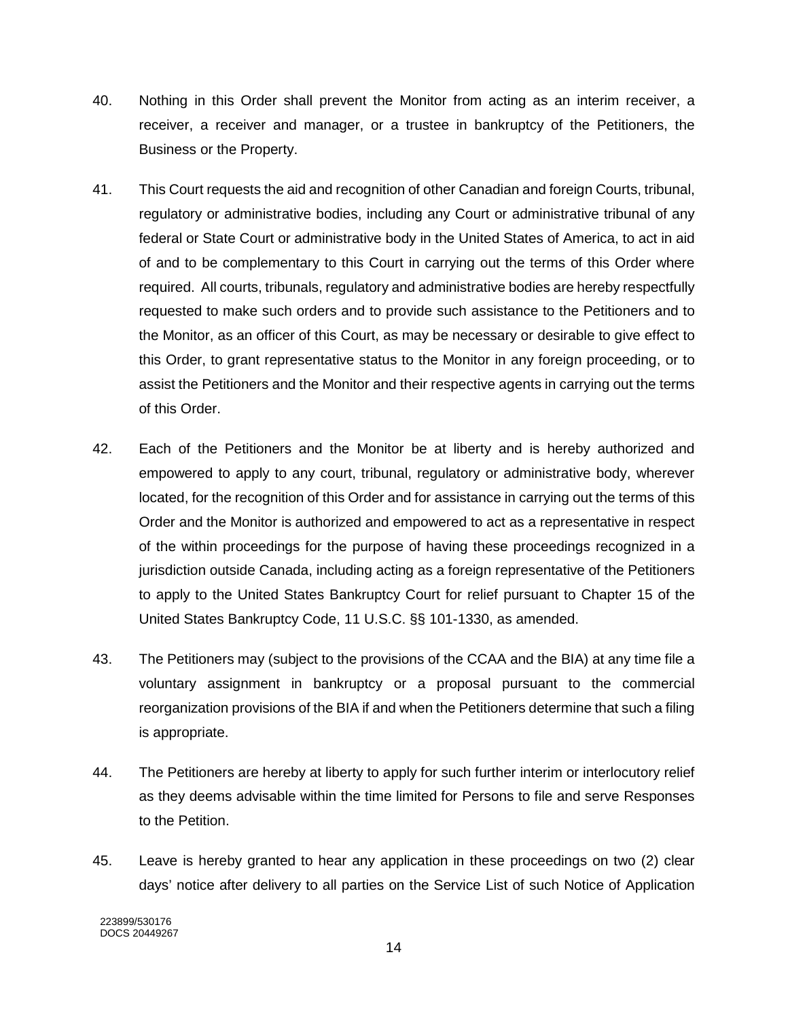- 40. Nothing in this Order shall prevent the Monitor from acting as an interim receiver, a receiver, a receiver and manager, or a trustee in bankruptcy of the Petitioners, the Business or the Property.
- 41. This Court requests the aid and recognition of other Canadian and foreign Courts, tribunal, regulatory or administrative bodies, including any Court or administrative tribunal of any federal or State Court or administrative body in the United States of America, to act in aid of and to be complementary to this Court in carrying out the terms of this Order where required. All courts, tribunals, regulatory and administrative bodies are hereby respectfully requested to make such orders and to provide such assistance to the Petitioners and to the Monitor, as an officer of this Court, as may be necessary or desirable to give effect to this Order, to grant representative status to the Monitor in any foreign proceeding, or to assist the Petitioners and the Monitor and their respective agents in carrying out the terms of this Order.
- 42. Each of the Petitioners and the Monitor be at liberty and is hereby authorized and empowered to apply to any court, tribunal, regulatory or administrative body, wherever located, for the recognition of this Order and for assistance in carrying out the terms of this Order and the Monitor is authorized and empowered to act as a representative in respect of the within proceedings for the purpose of having these proceedings recognized in a jurisdiction outside Canada, including acting as a foreign representative of the Petitioners to apply to the United States Bankruptcy Court for relief pursuant to Chapter 15 of the United States Bankruptcy Code, 11 U.S.C. §§ 101-1330, as amended.
- 43. The Petitioners may (subject to the provisions of the CCAA and the BIA) at any time file a voluntary assignment in bankruptcy or a proposal pursuant to the commercial reorganization provisions of the BIA if and when the Petitioners determine that such a filing is appropriate.
- 44. The Petitioners are hereby at liberty to apply for such further interim or interlocutory relief as they deems advisable within the time limited for Persons to file and serve Responses to the Petition.
- 45. Leave is hereby granted to hear any application in these proceedings on two (2) clear days' notice after delivery to all parties on the Service List of such Notice of Application

223899/530176 DOCS 20449267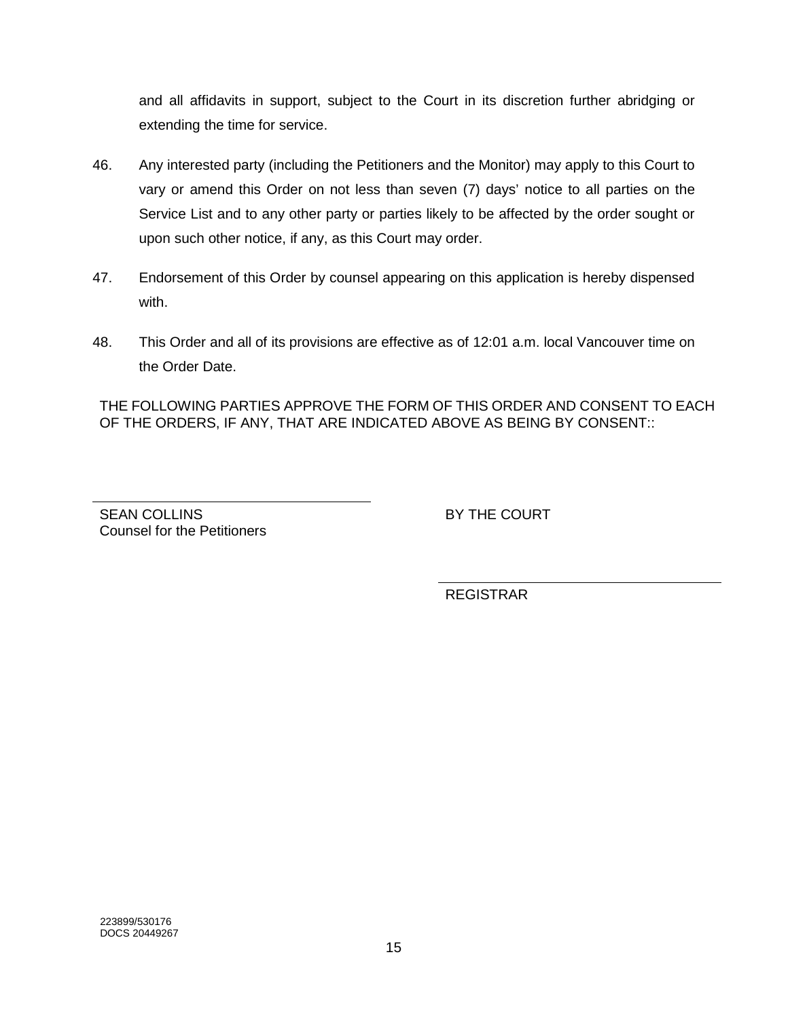and all affidavits in support, subject to the Court in its discretion further abridging or extending the time for service.

- 46. Any interested party (including the Petitioners and the Monitor) may apply to this Court to vary or amend this Order on not less than seven (7) days' notice to all parties on the Service List and to any other party or parties likely to be affected by the order sought or upon such other notice, if any, as this Court may order.
- 47. Endorsement of this Order by counsel appearing on this application is hereby dispensed with.
- 48. This Order and all of its provisions are effective as of 12:01 a.m. local Vancouver time on the Order Date.

THE FOLLOWING PARTIES APPROVE THE FORM OF THIS ORDER AND CONSENT TO EACH OF THE ORDERS, IF ANY, THAT ARE INDICATED ABOVE AS BEING BY CONSENT::

SEAN COLLINS Counsel for the Petitioners BY THE COURT

REGISTRAR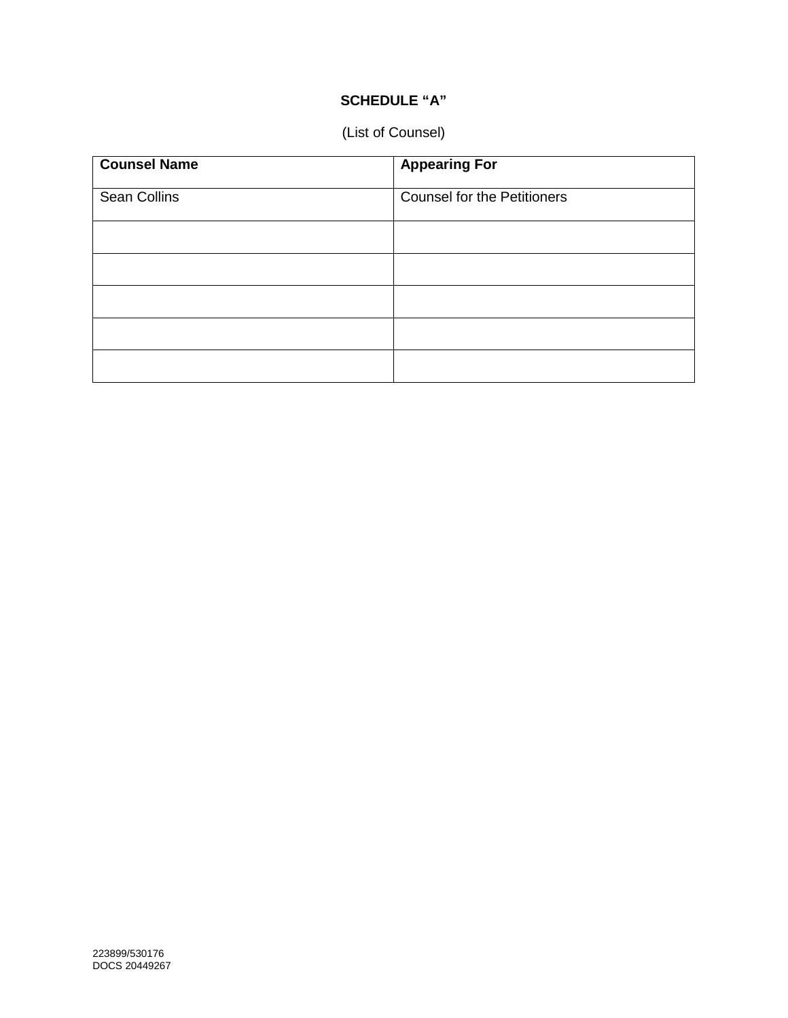# **SCHEDULE "A"**

# (List of Counsel)

| <b>Counsel Name</b> | <b>Appearing For</b>               |
|---------------------|------------------------------------|
| Sean Collins        | <b>Counsel for the Petitioners</b> |
|                     |                                    |
|                     |                                    |
|                     |                                    |
|                     |                                    |
|                     |                                    |